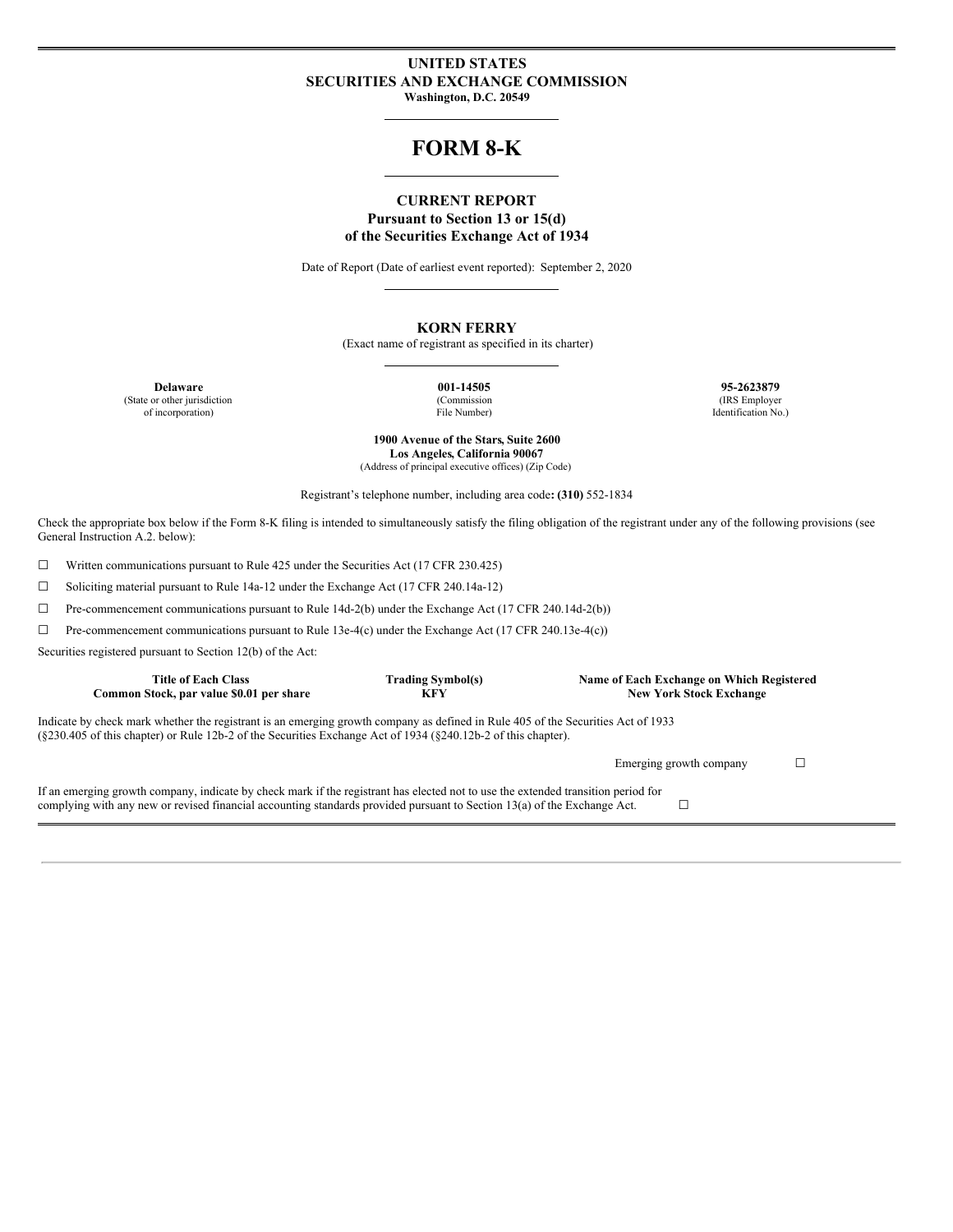### **UNITED STATES SECURITIES AND EXCHANGE COMMISSION Washington, D.C. 20549**

# **FORM 8-K**

### **CURRENT REPORT Pursuant to Section 13 or 15(d) of the Securities Exchange Act of 1934**

Date of Report (Date of earliest event reported): September 2, 2020

### **KORN FERRY**

(Exact name of registrant as specified in its charter)

(State or other jurisdiction of incorporation)

(Commission File Number)

**Delaware 001-14505 95-2623879** (IRS Employer Identification No.)

> **1900 Avenue of the Stars, Suite 2600 Los Angeles, California 90067** (Address of principal executive offices) (Zip Code)

Registrant's telephone number, including area code**: (310)** 552-1834

Check the appropriate box below if the Form 8-K filing is intended to simultaneously satisfy the filing obligation of the registrant under any of the following provisions (see General Instruction A.2. below):

☐ Written communications pursuant to Rule 425 under the Securities Act (17 CFR 230.425)

☐ Soliciting material pursuant to Rule 14a-12 under the Exchange Act (17 CFR 240.14a-12)

☐ Pre-commencement communications pursuant to Rule 14d-2(b) under the Exchange Act (17 CFR 240.14d-2(b))

☐ Pre-commencement communications pursuant to Rule 13e-4(c) under the Exchange Act (17 CFR 240.13e-4(c))

Securities registered pursuant to Section 12(b) of the Act:

| <b>Title of Each Class</b><br>Common Stock, par value \$0.01 per share                                                                                                                                                                                         | <b>Trading Symbol(s)</b><br><b>KFY</b> | Name of Each Exchange on Which Registered<br><b>New York Stock Exchange</b> |  |  |  |
|----------------------------------------------------------------------------------------------------------------------------------------------------------------------------------------------------------------------------------------------------------------|----------------------------------------|-----------------------------------------------------------------------------|--|--|--|
| Indicate by check mark whether the registrant is an emerging growth company as defined in Rule 405 of the Securities Act of 1933<br>$(8230.405 \text{ of this chapter})$ or Rule 12b-2 of the Securities Exchange Act of 1934 $(8240.12b-2)$ of this chapter). |                                        |                                                                             |  |  |  |
|                                                                                                                                                                                                                                                                |                                        | Emerging growth company                                                     |  |  |  |
| If an emerging growth company, indicate by check mark if the registrant has elected not to use the extended transition period for<br>complying with any new or revised financial accounting standards provided pursuant to Section 13(a) of the Exchange Act.  |                                        |                                                                             |  |  |  |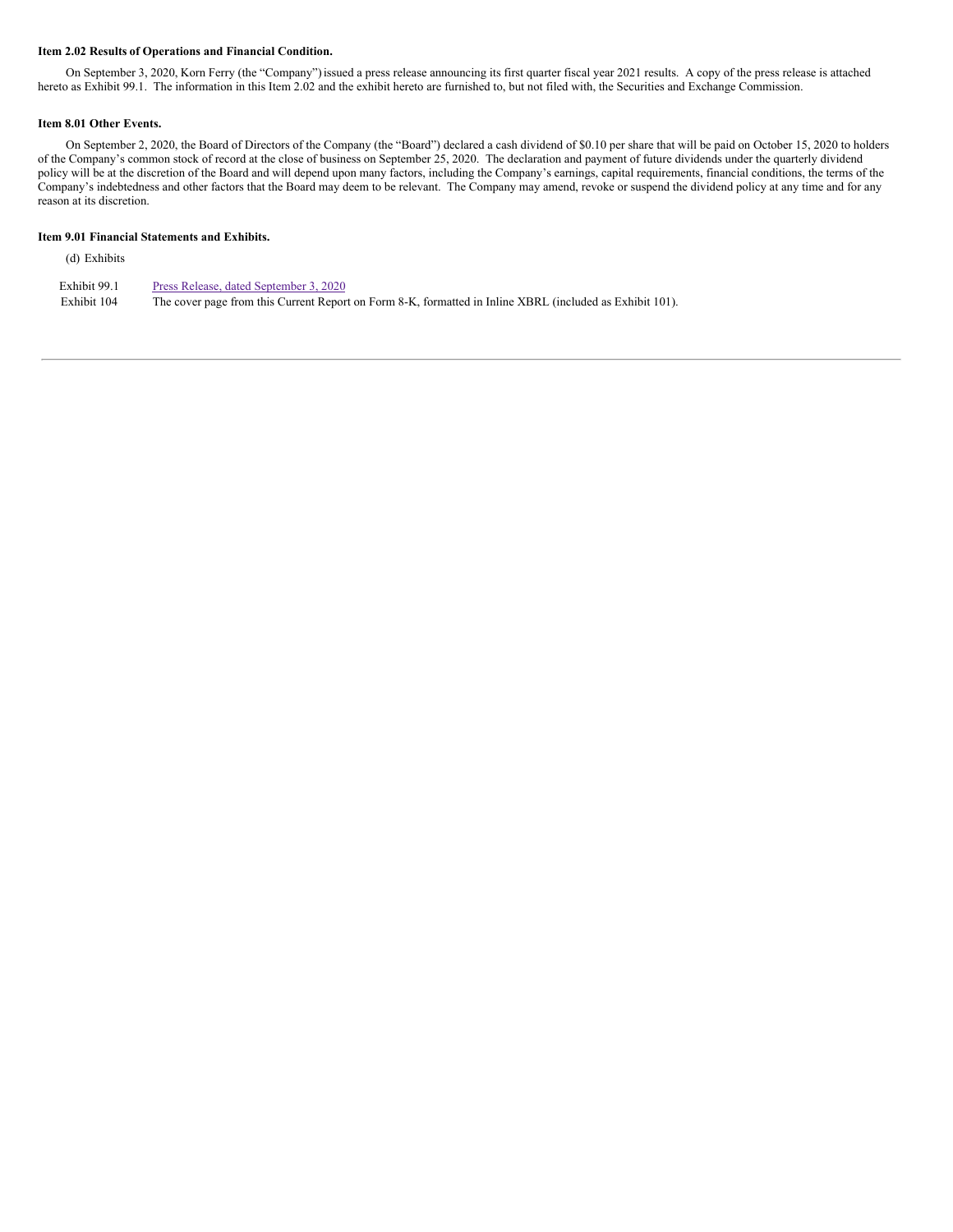### **Item 2.02 Results of Operations and Financial Condition.**

On September 3, 2020, Korn Ferry (the "Company")issued a press release announcing its first quarter fiscal year 2021 results. A copy of the press release is attached hereto as Exhibit 99.1. The information in this Item 2.02 and the exhibit hereto are furnished to, but not filed with, the Securities and Exchange Commission.

#### **Item 8.01 Other Events.**

On September 2, 2020, the Board of Directors of the Company (the "Board") declared a cash dividend of \$0.10 per share that will be paid on October 15, 2020 to holders of the Company's common stock of record at the close of business on September 25, 2020. The declaration and payment of future dividends under the quarterly dividend policy will be at the discretion of the Board and will depend upon many factors, including the Company's earnings, capital requirements, financial conditions, the terms of the Company's indebtedness and other factors that the Board may deem to be relevant. The Company may amend, revoke or suspend the dividend policy at any time and for any reason at its discretion.

#### **Item 9.01 Financial Statements and Exhibits.**

(d) Exhibits

| Exhibit 99.1 | Press Release, dated September 3, 2020                                                                   |
|--------------|----------------------------------------------------------------------------------------------------------|
| Exhibit 104  | The cover page from this Current Report on Form 8-K, formatted in Inline XBRL (included as Exhibit 101). |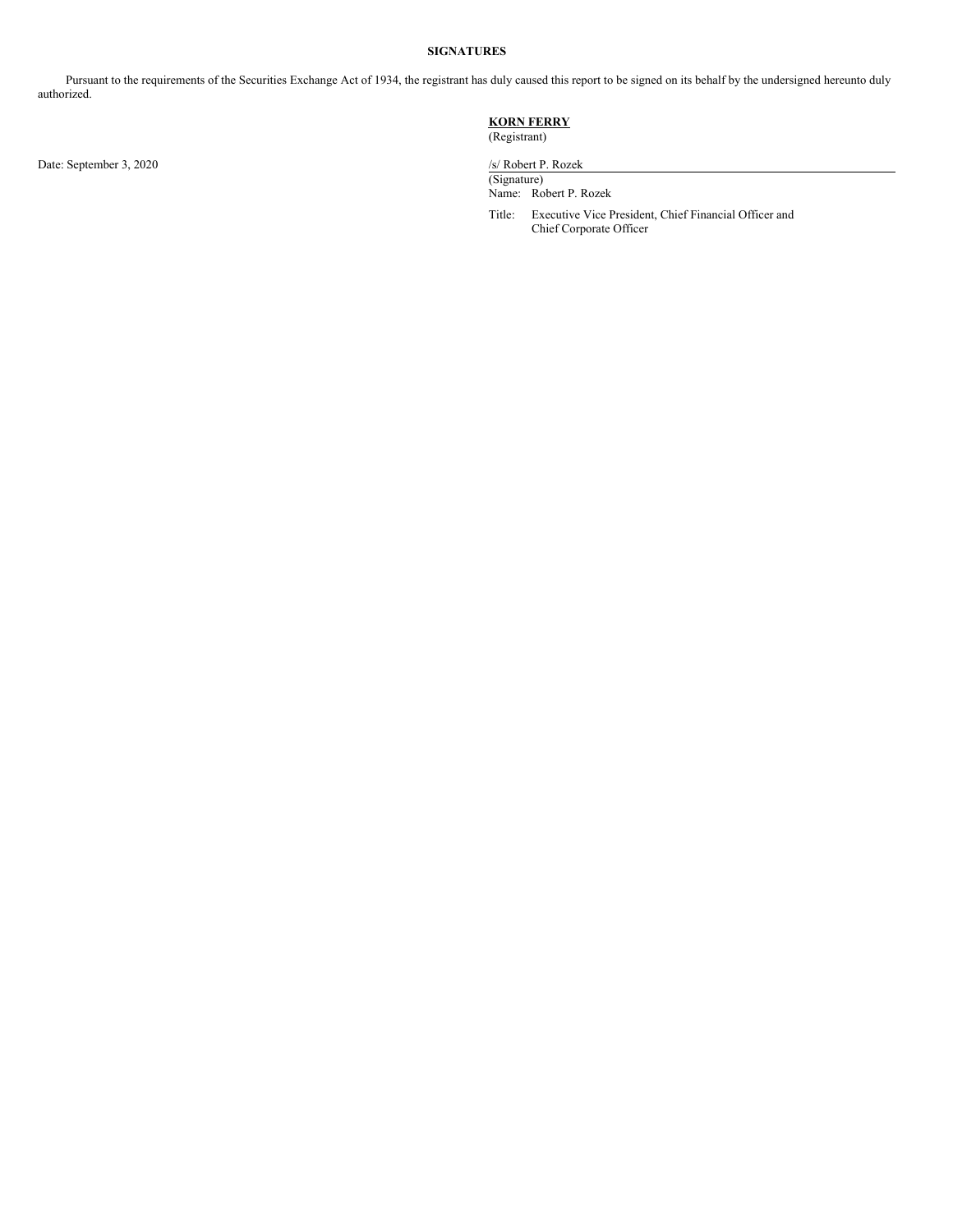### **SIGNATURES**

Pursuant to the requirements of the Securities Exchange Act of 1934, the registrant has duly caused this report to be signed on its behalf by the undersigned hereunto duly authorized.

## **KORN FERRY**

(Registrant)

Date: September 3, 2020 /s/ Robert P. Rozek

(Signature) Name: Robert P. Rozek

Title: Executive Vice President, Chief Financial Officer and Chief Corporate Officer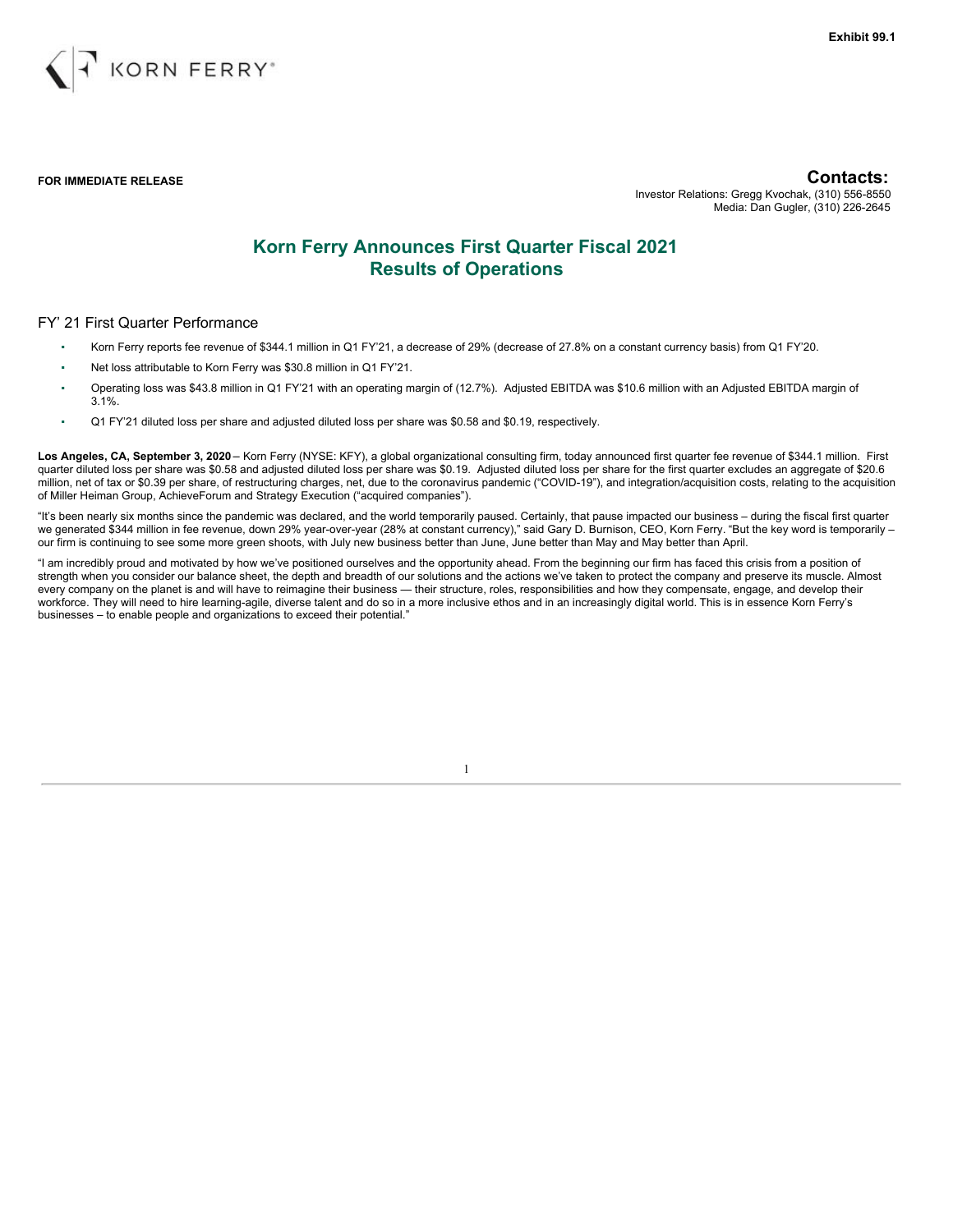

**FOR IMMEDIATE RELEASE Contacts:**

Investor Relations: Gregg Kvochak, (310) 556-8550 Media: Dan Gugler, (310) 226-2645

# **Korn Ferry Announces First Quarter Fiscal 2021 Results of Operations**

### FY' 21 First Quarter Performance

- Korn Ferry reports fee revenue of \$344.1 million in Q1 FY'21, a decrease of 29% (decrease of 27.8% on a constant currency basis) from Q1 FY'20.
- Net loss attributable to Korn Ferry was \$30.8 million in Q1 FY'21.
- Operating loss was \$43.8 million in Q1 FY'21 with an operating margin of (12.7%). Adjusted EBITDA was \$10.6 million with an Adjusted EBITDA margin of 3.1%.
- Q1 FY'21 diluted loss per share and adjusted diluted loss per share was \$0.58 and \$0.19, respectively.

**Los Angeles, CA, September 3, 2020** – Korn Ferry (NYSE: KFY), a global organizational consulting firm, today announced first quarter fee revenue of \$344.1 million. First quarter diluted loss per share was \$0.58 and adjusted diluted loss per share was \$0.19. Adjusted diluted loss per share for the first quarter excludes an aggregate of \$20.6 million, net of tax or \$0.39 per share, of restructuring charges, net, due to the coronavirus pandemic ("COVID-19"), and integration/acquisition costs, relating to the acquisition of Miller Heiman Group, AchieveForum and Strategy Execution ("acquired companies").

"It's been nearly six months since the pandemic was declared, and the world temporarily paused. Certainly, that pause impacted our business – during the fiscal first quarter we generated \$344 million in fee revenue, down 29% year-over-year (28% at constant currency)," said Gary D. Burnison, CEO, Korn Ferry. "But the key word is temporarily – our firm is continuing to see some more green shoots, with July new business better than June, June better than May and May better than April.

"I am incredibly proud and motivated by how we've positioned ourselves and the opportunity ahead. From the beginning our firm has faced this crisis from a position of strength when you consider our balance sheet, the depth and breadth of our solutions and the actions we've taken to protect the company and preserve its muscle. Almost every company on the planet is and will have to reimagine their business — their structure, roles, responsibilities and how they compensate, engage, and develop their workforce. They will need to hire learning-agile, diverse talent and do so in a more inclusive ethos and in an increasingly digital world. This is in essence Korn Ferry's businesses – to enable people and organizations to exceed their potential."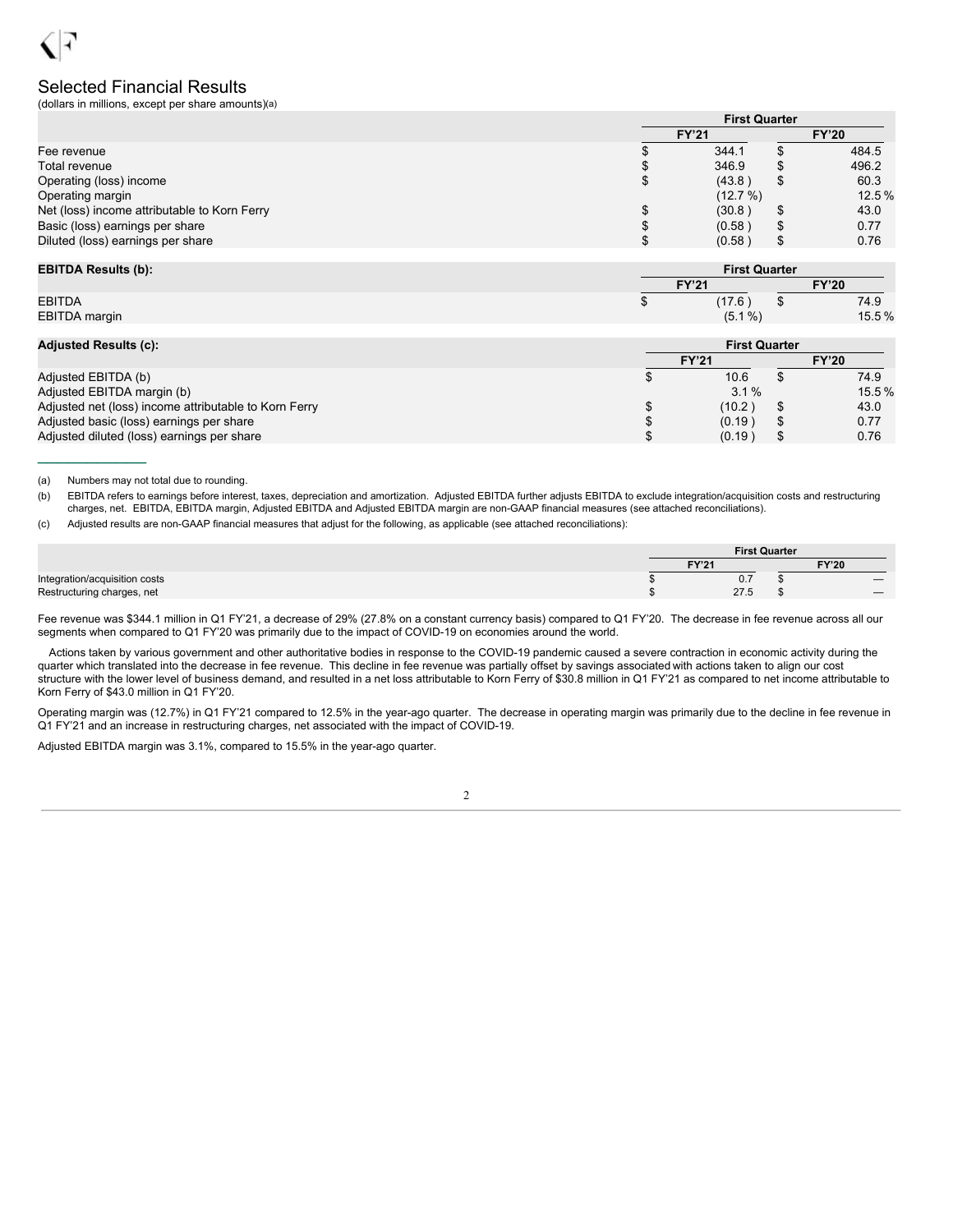## Selected Financial Results

(dollars in millions, except per share amounts)(a)

|                                              |              | <b>First Quarter</b> |    |              |  |
|----------------------------------------------|--------------|----------------------|----|--------------|--|
|                                              | <b>FY'21</b> |                      |    | <b>FY'20</b> |  |
| Fee revenue                                  |              | 344.1                |    | 484.5        |  |
| Total revenue                                | Æ            | 346.9                |    | 496.2        |  |
| Operating (loss) income                      | S            | (43.8)               | S  | 60.3         |  |
| Operating margin                             |              | (12.7%)              |    | 12.5 %       |  |
| Net (loss) income attributable to Korn Ferry | ۰D           | (30.8)               | S  | 43.0         |  |
| Basic (loss) earnings per share              | ۰D           | (0.58)               | S  | 0.77         |  |
| Diluted (loss) earnings per share            | ۰D           | (0.58)               | \$ | 0.76         |  |

| <b>EBITDA Results (b):</b> | <b>First Quarter</b> |  |              |
|----------------------------|----------------------|--|--------------|
|                            | <b>FY'21</b>         |  | <b>FY'20</b> |
| <b>EBITDA</b>              | (17.6)               |  | 74.9         |
| EBITDA margin              | $(5.1\%)$            |  | 15.5%        |

|  | <b>Adjusted Results (c):</b> |  |
|--|------------------------------|--|
|  |                              |  |

 $\frac{1}{2}$  ,  $\frac{1}{2}$  ,  $\frac{1}{2}$  ,  $\frac{1}{2}$  ,  $\frac{1}{2}$  ,  $\frac{1}{2}$  ,  $\frac{1}{2}$ 

| <b>Adjusted Results (c):</b>                          | <b>First Quarter</b> |         |  |              |  |
|-------------------------------------------------------|----------------------|---------|--|--------------|--|
|                                                       | <b>FY'21</b>         |         |  | <b>FY'20</b> |  |
| Adjusted EBITDA (b)                                   |                      | 10.6    |  | 74.9         |  |
| Adjusted EBITDA margin (b)                            |                      | $3.1\%$ |  | $15.5\%$     |  |
| Adjusted net (loss) income attributable to Korn Ferry |                      | (10.2)  |  | 43.0         |  |
| Adjusted basic (loss) earnings per share              |                      | (0.19)  |  | 0.77         |  |
| Adjusted diluted (loss) earnings per share            |                      | (0.19)  |  | 0.76         |  |

(a) Numbers may not total due to rounding.

(b) EBITDA refers to earnings before interest, taxes, depreciation and amortization. Adjusted EBITDA further adjusts EBITDA to exclude integration/acquisition costs and restructuring charges, net. EBITDA, EBITDA margin, Adjusted EBITDA and Adjusted EBITDA margin are non-GAAP financial measures (see attached reconciliations).

(c) Adjusted results are non-GAAP financial measures that adjust for the following, as applicable (see attached reconciliations):

|                               | <b>First Quarter</b> |      |  |                          |
|-------------------------------|----------------------|------|--|--------------------------|
|                               | FY'21                |      |  | <b>FY'20</b>             |
| Integration/acquisition costs |                      | ν. ι |  | $\overline{\phantom{a}}$ |
| Restructuring charges, net    |                      | 27.5 |  | $\overline{\phantom{a}}$ |

Fee revenue was \$344.1 million in Q1 FY'21, a decrease of 29% (27.8% on a constant currency basis) compared to Q1 FY'20. The decrease in fee revenue across all our segments when compared to Q1 FY'20 was primarily due to the impact of COVID-19 on economies around the world.

Actions taken by various government and other authoritative bodies in response to the COVID-19 pandemic caused a severe contraction in economic activity during the quarter which translated into the decrease in fee revenue. This decline in fee revenue was partially offset by savings associated with actions taken to align our cost structure with the lower level of business demand, and resulted in a net loss attributable to Korn Ferry of \$30.8 million in Q1 FY'21 as compared to net income attributable to Korn Ferry of \$43.0 million in Q1 FY'20.

Operating margin was (12.7%) in Q1 FY'21 compared to 12.5% in the year-ago quarter. The decrease in operating margin was primarily due to the decline in fee revenue in Q1 FY'21 and an increase in restructuring charges, net associated with the impact of COVID-19.

Adjusted EBITDA margin was 3.1%, compared to 15.5% in the year-ago quarter.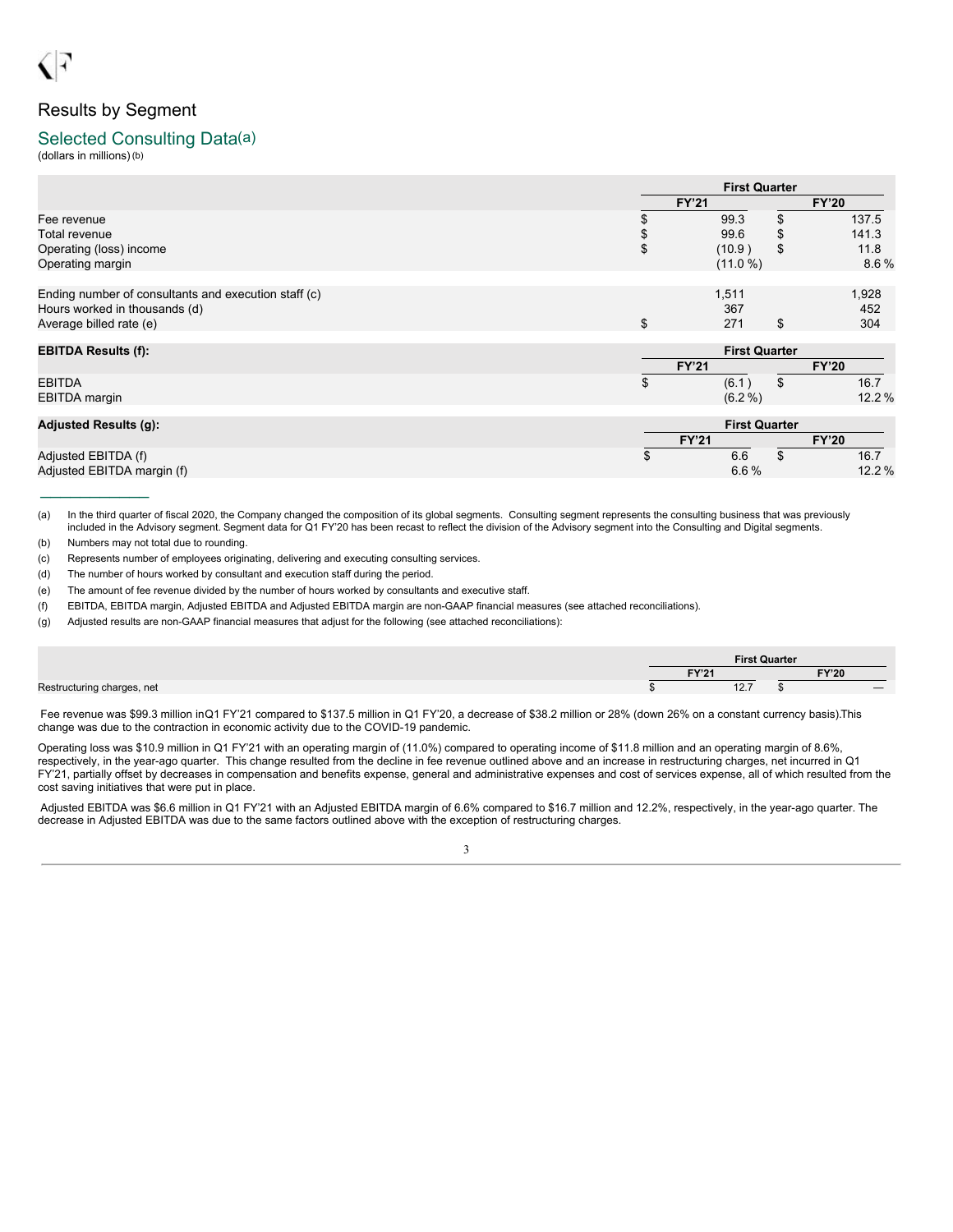# Results by Segment

## Selected Consulting Data(a)

(dollars in millions)(b)

|                                                      |              | <b>First Quarter</b> |    |              |
|------------------------------------------------------|--------------|----------------------|----|--------------|
|                                                      | <b>FY'21</b> |                      |    | <b>FY'20</b> |
| Fee revenue                                          | \$           | 99.3                 | \$ | 137.5        |
| Total revenue                                        | \$           | 99.6                 | \$ | 141.3        |
| Operating (loss) income                              | \$           | (10.9)               | \$ | 11.8         |
| Operating margin                                     |              | (11.0 %)             |    | 8.6%         |
| Ending number of consultants and execution staff (c) |              | 1,511                |    | 1,928        |
| Hours worked in thousands (d)                        |              | 367                  |    | 452          |
| Average billed rate (e)                              | \$           | 271                  | \$ | 304          |
| <b>EBITDA Results (f):</b>                           |              | <b>First Quarter</b> |    |              |
|                                                      | <b>FY'21</b> |                      |    | <b>FY'20</b> |
| <b>EBITDA</b>                                        | \$           | (6.1)                | \$ | 16.7         |
| <b>EBITDA</b> margin                                 |              | $(6.2\%)$            |    | 12.2%        |
| <b>Adjusted Results (g):</b>                         |              | <b>First Quarter</b> |    |              |
|                                                      | <b>FY'21</b> |                      |    | <b>FY'20</b> |
| Adjusted EBITDA (f)                                  | \$           | 6.6                  | \$ | 16.7         |
| Adjusted EBITDA margin (f)                           |              | 6.6%                 |    | 12.2%        |

(a) In the third quarter of fiscal 2020, the Company changed the composition of its global segments. Consulting segment represents the consulting business that was previously included in the Advisory segment. Segment data for Q1 FY'20 has been recast to reflect the division of the Advisory segment into the Consulting and Digital segments.

(b) Numbers may not total due to rounding.

 $\frac{1}{2}$  ,  $\frac{1}{2}$  ,  $\frac{1}{2}$  ,  $\frac{1}{2}$  ,  $\frac{1}{2}$  ,  $\frac{1}{2}$  ,  $\frac{1}{2}$ 

(c) Represents number of employees originating, delivering and executing consulting services.

(d) The number of hours worked by consultant and execution staff during the period.

(e) The amount of fee revenue divided by the number of hours worked by consultants and executive staff.

(f) EBITDA, EBITDA margin, Adjusted EBITDA and Adjusted EBITDA margin are non-GAAP financial measures (see attached reconciliations).

(g) Adjusted results are non-GAAP financial measures that adjust for the following (see attached reconciliations):

|                            | <b>First Quarter</b> |                   |  |              |
|----------------------------|----------------------|-------------------|--|--------------|
|                            |                      | EV <sub>104</sub> |  | <b>FY'20</b> |
| Restructuring charges, net |                      | $40 -$<br>12.1    |  |              |

Fee revenue was \$99.3 million inQ1 FY'21 compared to \$137.5 million in Q1 FY'20, a decrease of \$38.2 million or 28% (down 26% on a constant currency basis).This change was due to the contraction in economic activity due to the COVID-19 pandemic.

Operating loss was \$10.9 million in Q1 FY'21 with an operating margin of (11.0%) compared to operating income of \$11.8 million and an operating margin of 8.6%, respectively, in the year-ago quarter. This change resulted from the decline in fee revenue outlined above and an increase in restructuring charges, net incurred in Q1 FY'21, partially offset by decreases in compensation and benefits expense, general and administrative expenses and cost of services expense, all of which resulted from the cost saving initiatives that were put in place.

Adjusted EBITDA was \$6.6 million in Q1 FY'21 with an Adjusted EBITDA margin of 6.6% compared to \$16.7 million and 12.2%, respectively, in the year-ago quarter. The decrease in Adjusted EBITDA was due to the same factors outlined above with the exception of restructuring charges.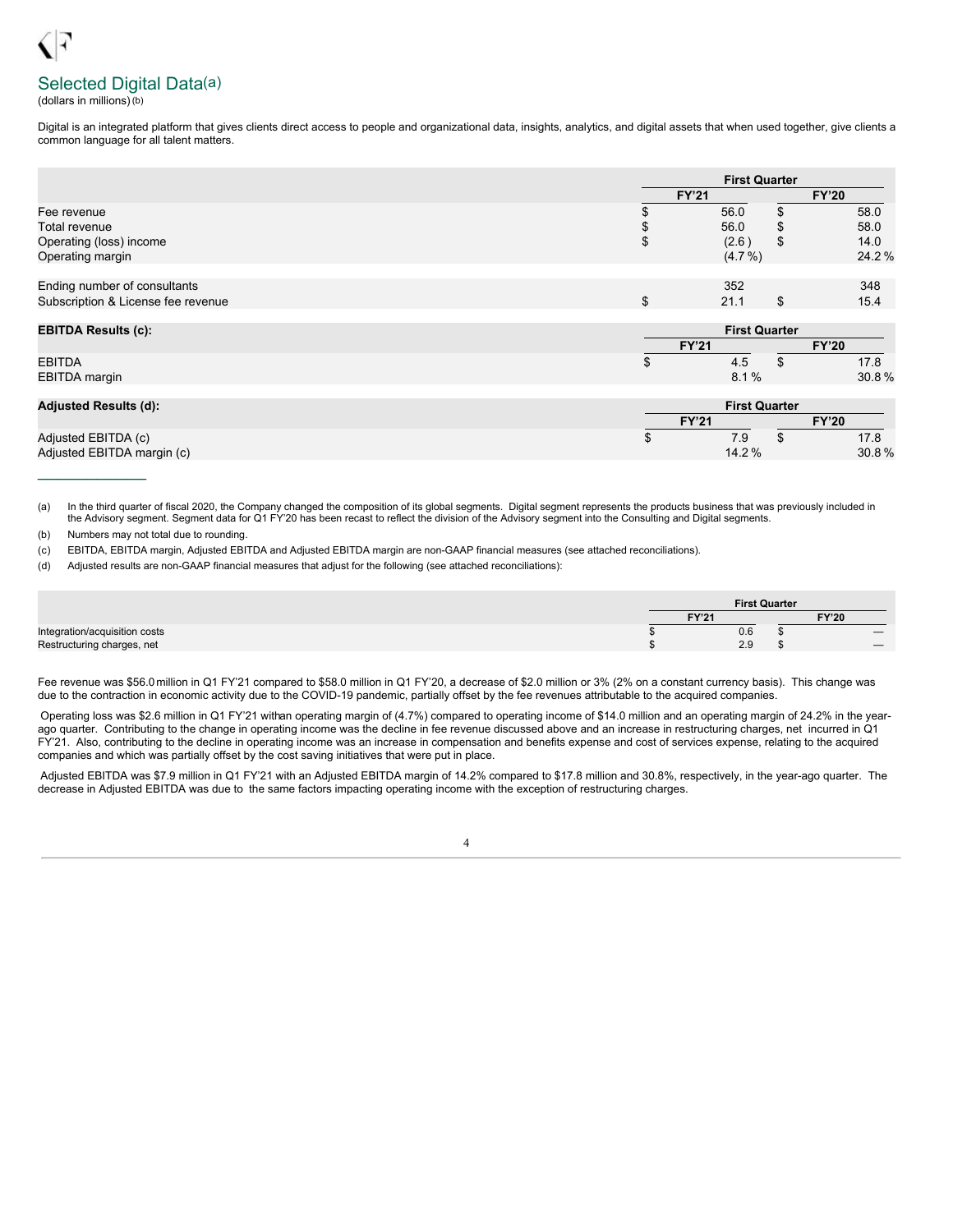# Selected Digital Data(a)

(dollars in millions)(b)

Digital is an integrated platform that gives clients direct access to people and organizational data, insights, analytics, and digital assets that when used together, give clients a common language for all talent matters.

|                                    |              | <b>First Quarter</b> |  |  |  |
|------------------------------------|--------------|----------------------|--|--|--|
|                                    | <b>FY'21</b> | <b>FY'20</b>         |  |  |  |
| Fee revenue                        |              | 58.0<br>56.0         |  |  |  |
| Total revenue                      |              | 58.0<br>56.0<br>\$   |  |  |  |
| Operating (loss) income            | ۰L           | 14.0<br>(2.6)<br>\$  |  |  |  |
| Operating margin                   |              | 24.2%<br>$(4.7\% )$  |  |  |  |
|                                    |              |                      |  |  |  |
| Ending number of consultants       |              | 352<br>348           |  |  |  |
| Subscription & License fee revenue | J            | 15.4<br>21.1<br>\$   |  |  |  |
|                                    |              |                      |  |  |  |

| <b>EBITDA Results (c):</b> | <b>First Quarter</b> |             |  |              |  |  |
|----------------------------|----------------------|-------------|--|--------------|--|--|
|                            | <b>CV'94</b>         |             |  | <b>FY'20</b> |  |  |
| <b>EBITDA</b>              |                      | 4.0         |  | 17.8         |  |  |
| EBITDA margin              |                      | $\%$<br>8.1 |  | 30.8%        |  |  |

| <b>Adjusted Results (d):</b>                      |                 | <b>First Quarter</b> |  |  |  |
|---------------------------------------------------|-----------------|----------------------|--|--|--|
|                                                   | <b>FY'21</b>    | <b>FY'20</b>         |  |  |  |
| Adjusted EBITDA (c)<br>Adjusted EBITDA margin (c) | 7.9<br>$14.2\%$ | 17.8<br>30.8%        |  |  |  |
|                                                   |                 |                      |  |  |  |

(a) In the third quarter of fiscal 2020, the Company changed the composition of its global segments. Digital segment represents the products business that was previously included in the Advisory segment. Segment data for Q1 FY'20 has been recast to reflect the division of the Advisory segment into the Consulting and Digital segments.

(b) Numbers may not total due to rounding.

(c) EBITDA, EBITDA margin, Adjusted EBITDA and Adjusted EBITDA margin are non-GAAP financial measures (see attached reconciliations).

(d) Adjusted results are non-GAAP financial measures that adjust for the following (see attached reconciliations):

|                               |              | <b>First Quarter</b> |                          |
|-------------------------------|--------------|----------------------|--------------------------|
|                               | <b>FY'21</b> |                      | <b>FY'20</b>             |
| Integration/acquisition costs |              | 0.6                  | $\overline{\phantom{a}}$ |
| Restructuring charges, net    |              | 2.9                  |                          |

Fee revenue was \$56.0 million in Q1 FY'21 compared to \$58.0 million in Q1 FY'20, a decrease of \$2.0 million or 3% (2% on a constant currency basis). This change was due to the contraction in economic activity due to the COVID-19 pandemic, partially offset by the fee revenues attributable to the acquired companies.

Operating loss was \$2.6 million in Q1 FY'21 withan operating margin of (4.7%) compared to operating income of \$14.0 million and an operating margin of 24.2% in the yearago quarter. Contributing to the change in operating income was the decline in fee revenue discussed above and an increase in restructuring charges, net incurred in Q1 FY'21. Also, contributing to the decline in operating income was an increase in compensation and benefits expense and cost of services expense, relating to the acquired companies and which was partially offset by the cost saving initiatives that were put in place.

Adjusted EBITDA was \$7.9 million in Q1 FY'21 with an Adjusted EBITDA margin of 14.2% compared to \$17.8 million and 30.8%, respectively, in the year-ago quarter. The decrease in Adjusted EBITDA was due to the same factors impacting operating income with the exception of restructuring charges.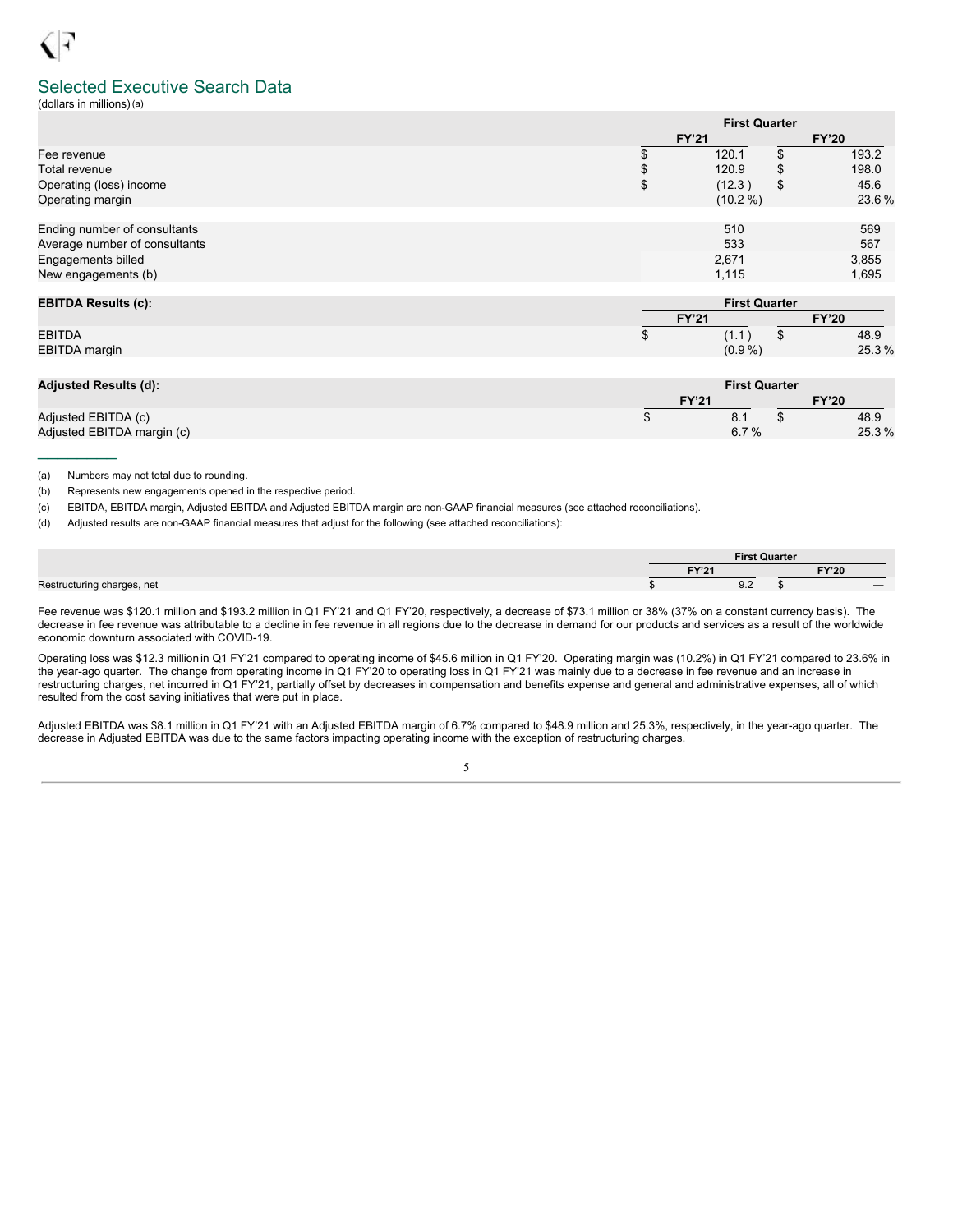## Selected Executive Search Data

(dollars in millions)(a)

|                                                               |              | <b>First Quarter</b> |    |              |  |  |
|---------------------------------------------------------------|--------------|----------------------|----|--------------|--|--|
|                                                               | <b>FY'21</b> |                      |    | <b>FY'20</b> |  |  |
| Fee revenue                                                   |              | 120.1                |    | 193.2        |  |  |
| Total revenue                                                 | Æ            | 120.9                | S  | 198.0        |  |  |
| Operating (loss) income                                       | \$           | (12.3)               | \$ | 45.6         |  |  |
| Operating margin                                              |              | $(10.2\%)$           |    | 23.6%        |  |  |
| Ending number of consultants<br>Average number of consultants |              | 510<br>533           |    | 569<br>567   |  |  |
| Engagements billed                                            |              | 2,671                |    | 3,855        |  |  |
| New engagements (b)                                           |              | 1,115                |    | 1,695        |  |  |
|                                                               |              |                      |    |              |  |  |

| <b>EBITDA Results (c):</b> |              | <b>First Quarter</b> |       |  |  |  |  |  |
|----------------------------|--------------|----------------------|-------|--|--|--|--|--|
|                            | <b>FY'21</b> | <b>FY'20</b>         |       |  |  |  |  |  |
| <b>EBITDA</b>              | (1.1)        |                      | 48.9  |  |  |  |  |  |
| <b>EBITDA</b> margin       | $(0.9\%)$    |                      | 25.3% |  |  |  |  |  |

| <b>Adjusted Results (d):</b> |              | <b>First Quarter</b> |  |  |  |  |  |  |
|------------------------------|--------------|----------------------|--|--|--|--|--|--|
|                              | <b>FY'21</b> | <b>FY'20</b>         |  |  |  |  |  |  |
| Adjusted EBITDA (c)          | R            | 48.9                 |  |  |  |  |  |  |
| Adjusted EBITDA margin (c)   | 6.7%         | 25.3%                |  |  |  |  |  |  |

(a) Numbers may not total due to rounding.

 $\frac{1}{2}$ 

(b) Represents new engagements opened in the respective period.

(c) EBITDA, EBITDA margin, Adjusted EBITDA and Adjusted EBITDA margin are non-GAAP financial measures (see attached reconciliations).

(d) Adjusted results are non-GAAP financial measures that adjust for the following (see attached reconciliations):

|                            | <b>First Quarter</b><br>EVI24 |  |              |
|----------------------------|-------------------------------|--|--------------|
|                            |                               |  | <b>FY'20</b> |
| Restructuring charges, net | ΩΩ<br>◡.∠                     |  |              |

Fee revenue was \$120.1 million and \$193.2 million in Q1 FY'21 and Q1 FY'20, respectively, a decrease of \$73.1 million or 38% (37% on a constant currency basis). The decrease in fee revenue was attributable to a decline in fee revenue in all regions due to the decrease in demand for our products and services as a result of the worldwide economic downturn associated with COVID-19.

Operating loss was \$12.3 million in Q1 FY'21 compared to operating income of \$45.6 million in Q1 FY'20. Operating margin was (10.2%) in Q1 FY'21 compared to 23.6% in the year-ago quarter. The change from operating income in Q1 FY'20 to operating loss in Q1 FY'21 was mainly due to a decrease in fee revenue and an increase in restructuring charges, net incurred in Q1 FY'21, partially offset by decreases in compensation and benefits expense and general and administrative expenses, all of which resulted from the cost saving initiatives that were put in place.

Adjusted EBITDA was \$8.1 million in Q1 FY'21 with an Adjusted EBITDA margin of 6.7% compared to \$48.9 million and 25.3%, respectively, in the year-ago quarter. The decrease in Adjusted EBITDA was due to the same factors impacting operating income with the exception of restructuring charges.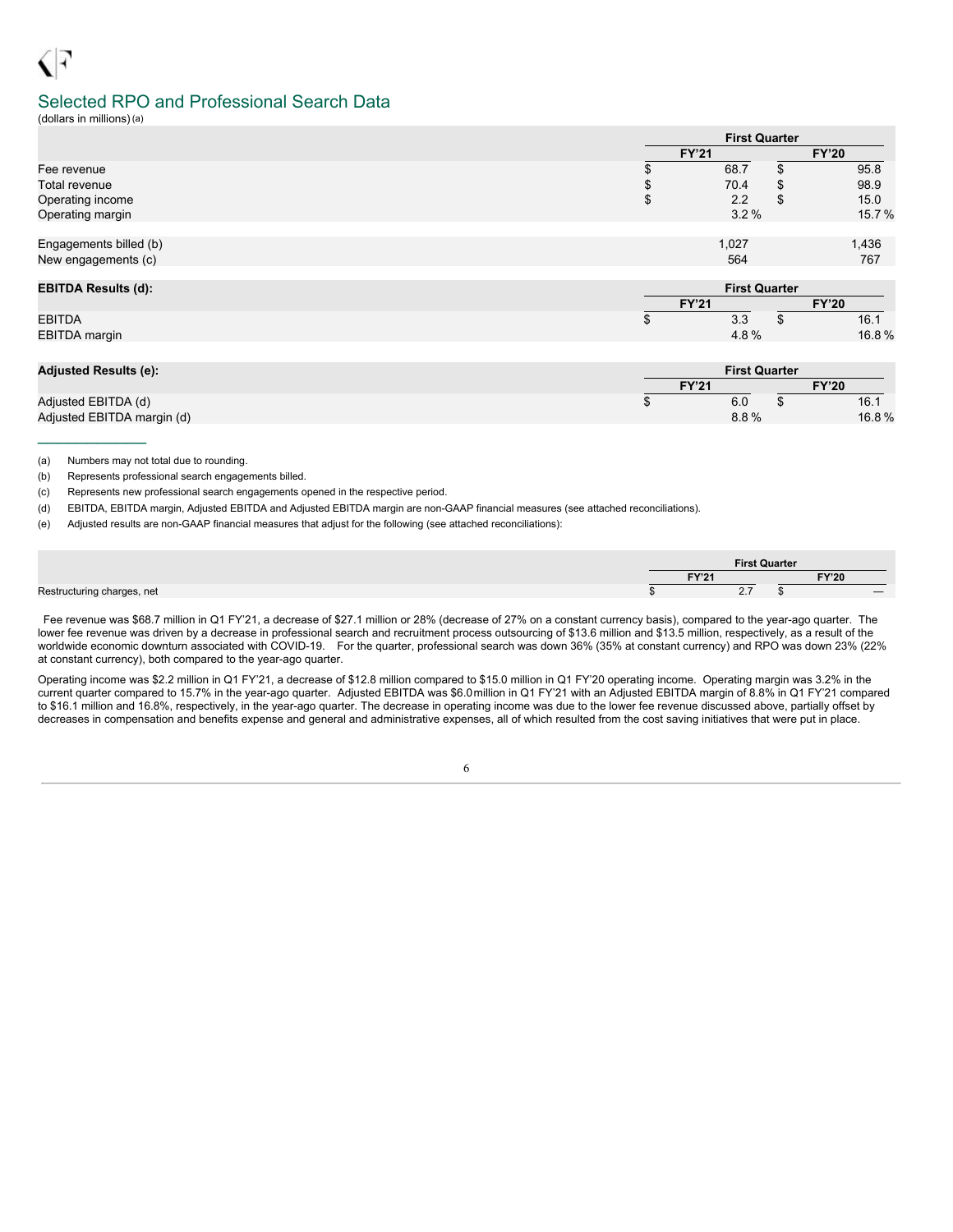# Selected RPO and Professional Search Data

(dollars in millions)(a)

|                        | <b>First Quarter</b> |    |       |  |  |
|------------------------|----------------------|----|-------|--|--|
|                        | <b>FY'21</b>         |    |       |  |  |
| Fee revenue            | 68.7                 |    | 95.8  |  |  |
| <b>Total revenue</b>   | 70.4                 | \$ | 98.9  |  |  |
| Operating income       | 2.2                  | S  | 15.0  |  |  |
| Operating margin       | 3.2%                 |    | 15.7% |  |  |
| Engagements billed (b) | 1,027                |    | 1,436 |  |  |
| New engagements (c)    | 564                  |    | 767   |  |  |

| <b>EBITDA Results (d):</b> |              | <b>First Quarter</b> |  |  |  |
|----------------------------|--------------|----------------------|--|--|--|
|                            | <b>FY'21</b> | <b>FY'20</b>         |  |  |  |
| <b>EBITDA</b>              | 3.3          | 16.1                 |  |  |  |
| EBITDA margin              | 4.8%         | 16.8%                |  |  |  |

| <b>Adjusted Results (e):</b> |              | <b>First Quarter</b> |  |       |  |
|------------------------------|--------------|----------------------|--|-------|--|
|                              | <b>FY'21</b> |                      |  |       |  |
| Adjusted EBITDA (d)          |              | 6.0                  |  | 16.1  |  |
| Adjusted EBITDA margin (d)   |              | 8.8%                 |  | 16.8% |  |

(a) Numbers may not total due to rounding.

 $\frac{1}{2}$  ,  $\frac{1}{2}$  ,  $\frac{1}{2}$  ,  $\frac{1}{2}$  ,  $\frac{1}{2}$  ,  $\frac{1}{2}$  ,  $\frac{1}{2}$ 

(b) Represents professional search engagements billed.

(c) Represents new professional search engagements opened in the respective period.

(d) EBITDA, EBITDA margin, Adjusted EBITDA and Adjusted EBITDA margin are non-GAAP financial measures (see attached reconciliations).

(e) Adjusted results are non-GAAP financial measures that adjust for the following (see attached reconciliations):

|  |              | <b>First Quarter</b> |       |      |
|--|--------------|----------------------|-------|------|
|  | <b>EVIOL</b> |                      | FY'20 |      |
|  |              | . -<br>$\sim\cdot$   |       | ____ |

Fee revenue was \$68.7 million in Q1 FY'21, a decrease of \$27.1 million or 28% (decrease of 27% on a constant currency basis), compared to the year-ago quarter. The lower fee revenue was driven by a decrease in professional search and recruitment process outsourcing of \$13.6 million and \$13.5 million, respectively, as a result of the worldwide economic downturn associated with COVID-19. For the quarter, professional search was down 36% (35% at constant currency) and RPO was down 23% (22% at constant currency), both compared to the year-ago quarter.

Operating income was \$2.2 million in Q1 FY'21, a decrease of \$12.8 million compared to \$15.0 million in Q1 FY'20 operating income. Operating margin was 3.2% in the current quarter compared to 15.7% in the year-ago quarter. Adjusted EBITDA was \$6.0million in Q1 FY'21 with an Adjusted EBITDA margin of 8.8% in Q1 FY'21 compared to \$16.1 million and 16.8%, respectively, in the year-ago quarter. The decrease in operating income was due to the lower fee revenue discussed above, partially offset by decreases in compensation and benefits expense and general and administrative expenses, all of which resulted from the cost saving initiatives that were put in place.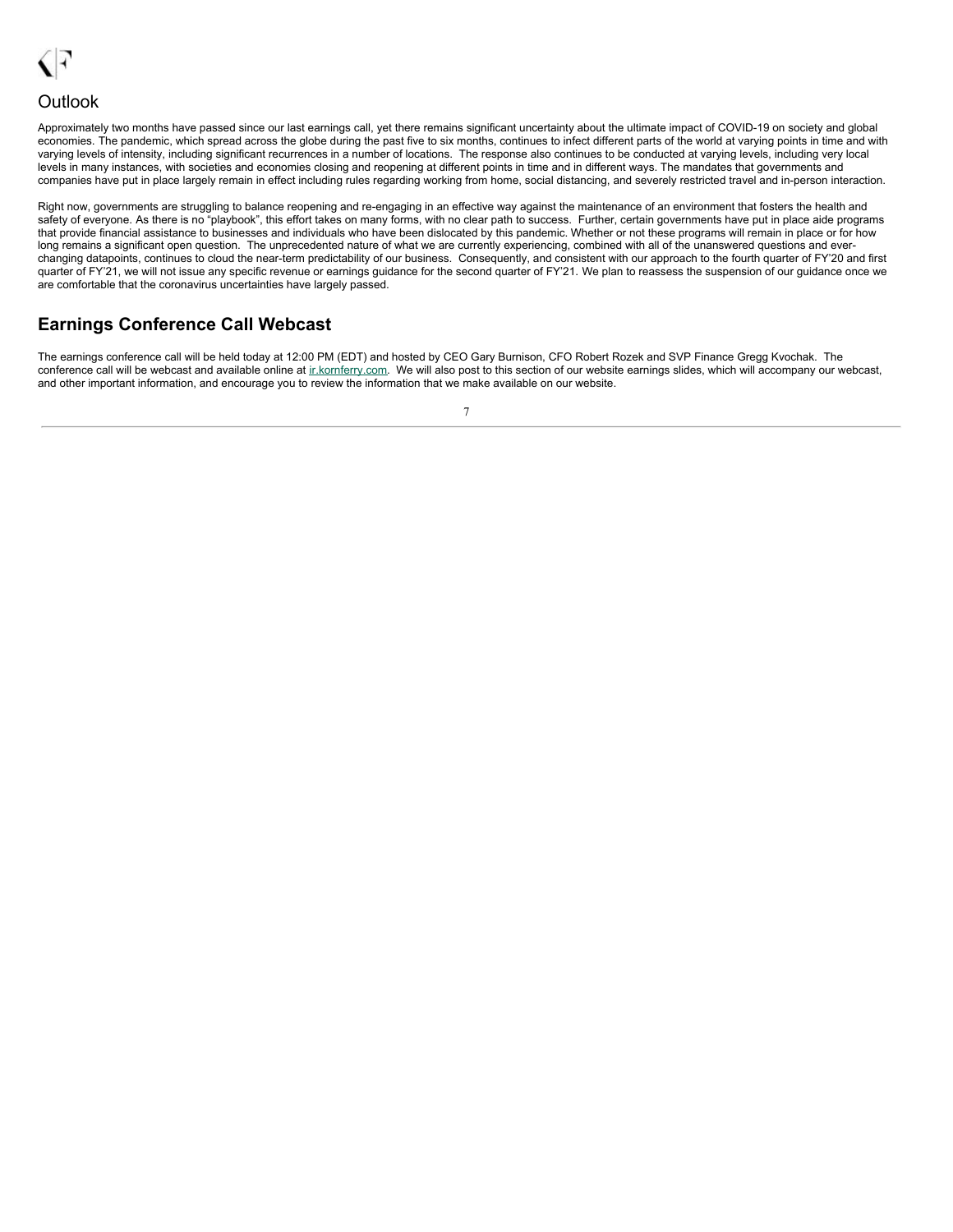<span id="page-9-0"></span>

## **Outlook**

Approximately two months have passed since our last earnings call, yet there remains significant uncertainty about the ultimate impact of COVID-19 on society and global economies. The pandemic, which spread across the globe during the past five to six months, continues to infect different parts of the world at varying points in time and with varying levels of intensity, including significant recurrences in a number of locations. The response also continues to be conducted at varying levels, including very local levels in many instances, with societies and economies closing and reopening at different points in time and in different ways. The mandates that governments and companies have put in place largely remain in effect including rules regarding working from home, social distancing, and severely restricted travel and in-person interaction.

Right now, governments are struggling to balance reopening and re-engaging in an effective way against the maintenance of an environment that fosters the health and safety of everyone. As there is no "playbook", this effort takes on many forms, with no clear path to success. Further, certain governments have put in place aide programs that provide financial assistance to businesses and individuals who have been dislocated by this pandemic. Whether or not these programs will remain in place or for how long remains a significant open question. The unprecedented nature of what we are currently experiencing, combined with all of the unanswered questions and everchanging datapoints, continues to cloud the near-term predictability of our business. Consequently, and consistent with our approach to the fourth quarter of FY'20 and first quarter of FY'21, we will not issue any specific revenue or earnings guidance for the second quarter of FY'21. We plan to reassess the suspension of our guidance once we are comfortable that the coronavirus uncertainties have largely passed.

# **Earnings Conference Call Webcast**

The earnings conference call will be held today at 12:00 PM (EDT) and hosted by CEO Gary Burnison, CFO Robert Rozek and SVP Finance Gregg Kvochak. The conference call will be webcast and available online at ir.kornferry.com. We will also post to this section of our website earnings slides, which will accompany our webcast, and other important information, and encourage you to review the information that we make available on our website.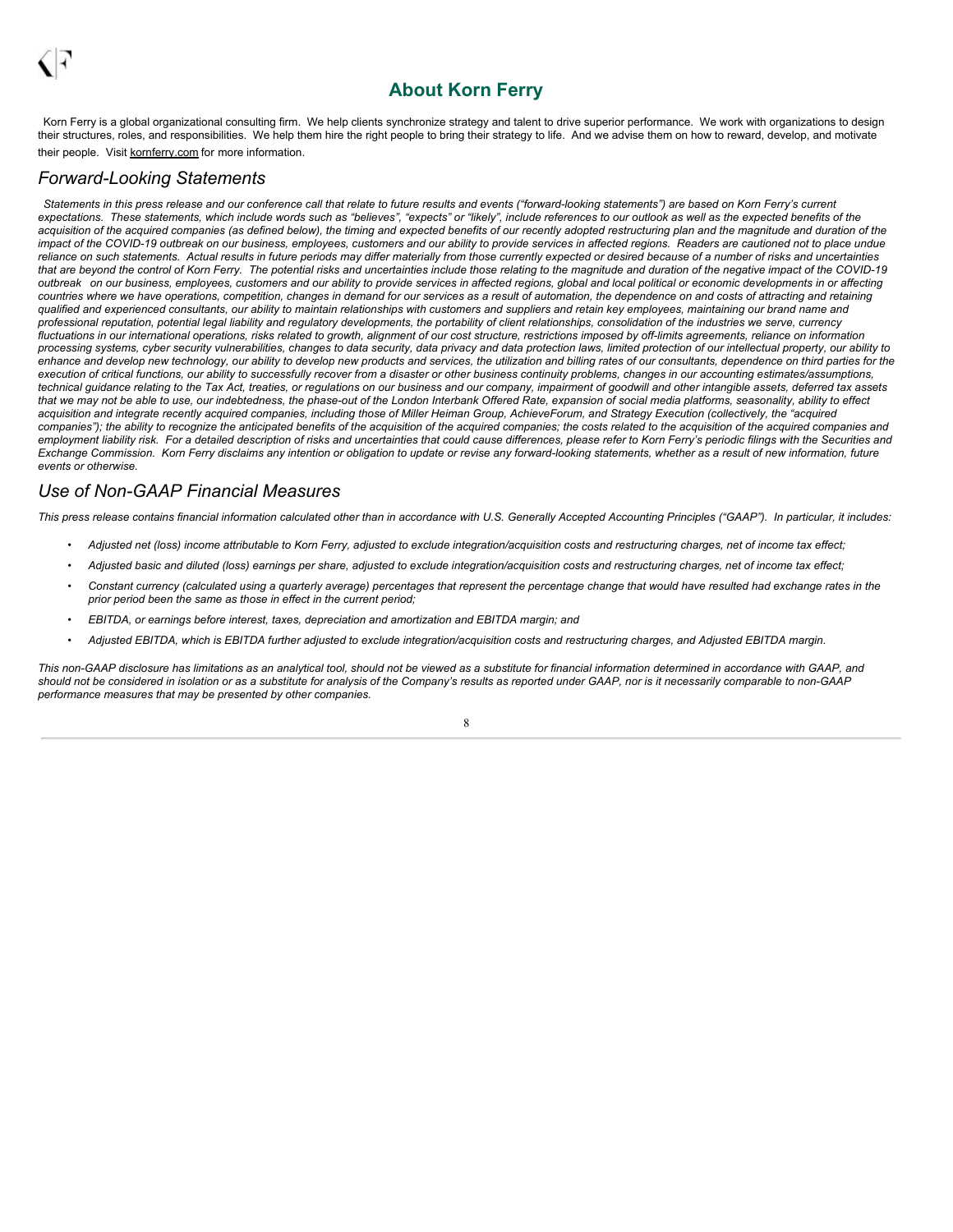# **About Korn Ferry**

Korn Ferry is a global organizational consulting firm. We help clients synchronize strategy and talent to drive superior performance. We work with organizations to design their structures, roles, and responsibilities. We help them hire the right people to bring their strategy to life. And we advise them on how to reward, develop, and motivate their people. Visit kornferry.com for more information.

## *Forward-Looking Statements*

Statements in this press release and our conference call that relate to future results and events ("forward-looking statements") are based on Korn Ferry's current expectations. These statements, which include words such as "believes", "expects" or "likely", include references to our outlook as well as the expected benefits of the acquisition of the acquired companies (as defined below), the timing and expected benefits of our recently adopted restructuring plan and the magnitude and duration of the impact of the COVID-19 outbreak on our business, employees, customers and our ability to provide services in affected regions. Readers are cautioned not to place undue reliance on such statements. Actual results in future periods may differ materially from those currently expected or desired because of a number of risks and uncertainties that are beyond the control of Korn Ferry. The potential risks and uncertainties include those relating to the magnitude and duration of the negative impact of the COVID-19 outbreak on our business, employees, customers and our ability to provide services in affected regions, global and local political or economic developments in or affecting countries where we have operations, competition, changes in demand for our services as a result of automation, the dependence on and costs of attracting and retaining qualified and experienced consultants, our ability to maintain relationships with customers and suppliers and retain key employees, maintaining our brand name and professional reputation, potential legal liability and regulatory developments, the portability of client relationships, consolidation of the industries we serve, currency fluctuations in our international operations, risks related to growth, alignment of our cost structure, restrictions imposed by off-limits agreements, reliance on information processing systems, cyber security vulnerabilities, changes to data security, data privacy and data protection laws, limited protection of our intellectual property, our ability to enhance and develop new technology, our ability to develop new products and services, the utilization and billing rates of our consultants, dependence on third parties for the execution of critical functions, our ability to successfully recover from a disaster or other business continuity problems, changes in our accounting estimates/assumptions, technical guidance relating to the Tax Act, treaties, or regulations on our business and our company, impairment of goodwill and other intangible assets, deferred tax assets that we may not be able to use, our indebtedness, the phase-out of the London Interbank Offered Rate, expansion of social media platforms, seasonality, ability to effect acquisition and integrate recently acquired companies, including those of Miller Heiman Group, AchieveForum, and Strategy Execution (collectively, the "acquired companies"); the ability to recognize the anticipated benefits of the acquisition of the acquired companies; the costs related to the acquisition of the acquired companies and employment liability risk. For a detailed description of risks and uncertainties that could cause differences, please refer to Korn Ferry's periodic filings with the Securities and Exchange Commission. Korn Ferry disclaims any intention or obligation to update or revise any forward-looking statements, whether as a result of new information, future *events or otherwise.*

## *Use of Non-GAAP Financial Measures*

This press release contains financial information calculated other than in accordance with U.S. Generally Accepted Accounting Principles ("GAAP"). In particular, it includes:

- Adjusted net (loss) income attributable to Korn Ferry, adjusted to exclude integration/acquisition costs and restructuring charges, net of income tax effect;
- Adjusted basic and diluted (loss) earnings per share, adjusted to exclude integration/acquisition costs and restructuring charges, net of income tax effect;
- Constant currency (calculated using a quarterly average) percentages that represent the percentage change that would have resulted had exchange rates in the *prior period been the same as those in effect in the current period;*
- *• EBITDA, or earnings before interest, taxes, depreciation and amortization and EBITDA margin; and*
- Adjusted EBITDA, which is EBITDA further adjusted to exclude integration/acquisition costs and restructuring charges, and Adjusted EBITDA margin.

This non-GAAP disclosure has limitations as an analytical tool, should not be viewed as a substitute for financial information determined in accordance with GAAP, and should not be considered in isolation or as a substitute for analysis of the Company's results as reported under GAAP, nor is it necessarily comparable to non-GAAP *performance measures that may be presented by other companies.*

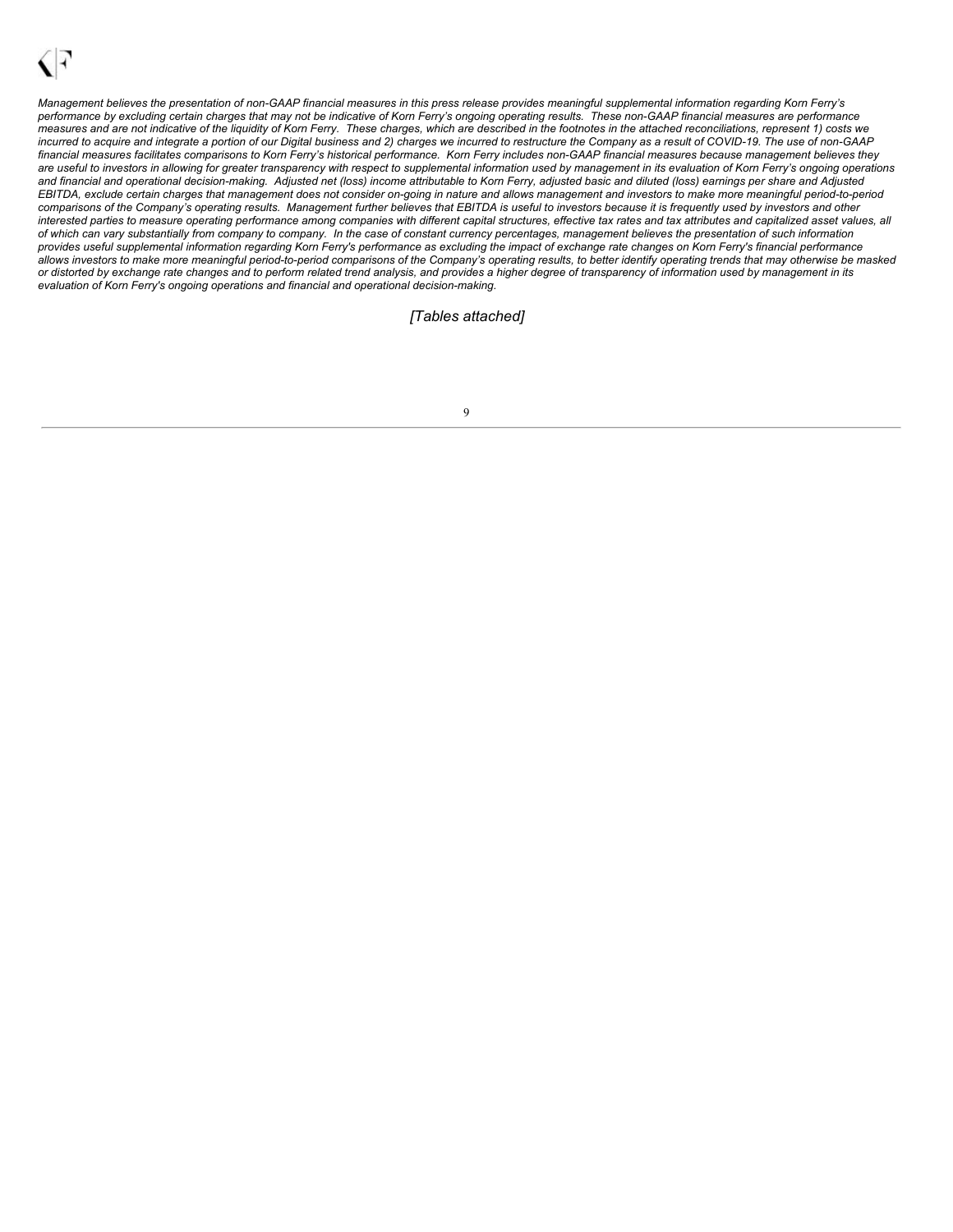Management believes the presentation of non-GAAP financial measures in this press release provides meaningful supplemental information regarding Korn Ferry's performance by excluding certain charges that may not be indicative of Korn Ferry's ongoing operating results. These non-GAAP financial measures are performance measures and are not indicative of the liquidity of Korn Ferry. These charges, which are described in the footnotes in the attached reconciliations, represent 1) costs we incurred to acquire and integrate a portion of our Digital business and 2) charges we incurred to restructure the Company as a result of COVID-19. The use of non-GAAP financial measures facilitates comparisons to Korn Ferry's historical performance. Korn Ferry includes non-GAAP financial measures because management believes they are useful to investors in allowing for greater transparency with respect to supplemental information used by management in its evaluation of Korn Ferry's ongoing operations and financial and operational decision-making. Adjusted net (loss) income attributable to Korn Ferry, adjusted basic and diluted (loss) earnings per share and Adjusted EBITDA, exclude certain charges that management does not consider on-going in nature and allows management and investors to make more meaningful period-to-period comparisons of the Company's operating results. Management further believes that EBITDA is useful to investors because it is frequently used by investors and other interested parties to measure operating performance among companies with different capital structures, effective tax rates and tax attributes and capitalized asset values, all of which can vary substantially from company to company. In the case of constant currency percentages, management believes the presentation of such information provides useful supplemental information regarding Kom Ferry's performance as excluding the impact of exchange rate changes on Korn Ferry's financial performance allows investors to make more meaningful period-to-period comparisons of the Company's operating results, to better identify operating trends that may otherwise be masked or distorted by exchange rate changes and to perform related trend analysis, and provides a higher degree of transparency of information used by management in its *evaluation of Korn Ferry's ongoing operations and financial and operational decision-making.*

### *[Tables attached]*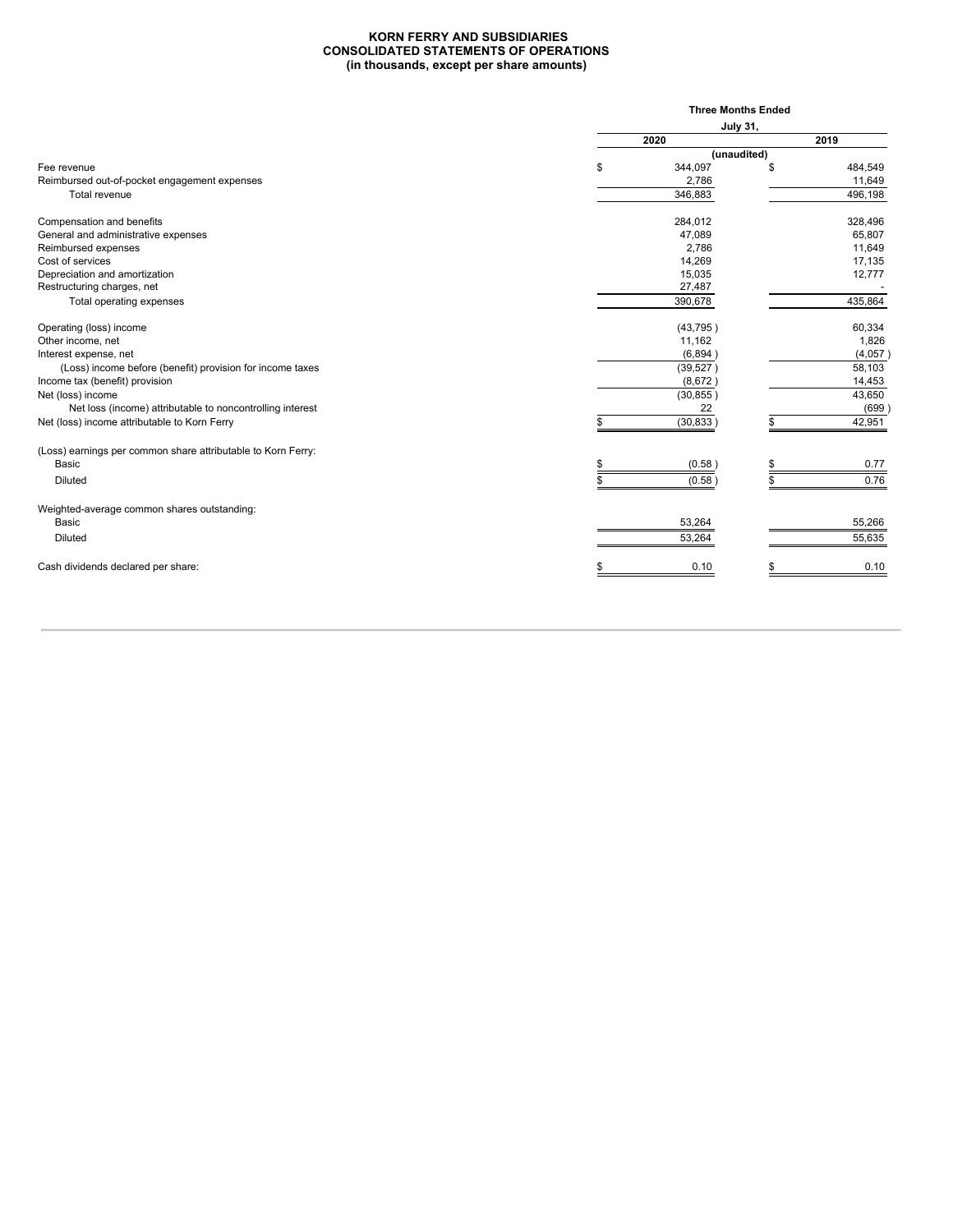#### **KORN FERRY AND SUBSIDIARIES CONSOLIDATED STATEMENTS OF OPERATIONS (in thousands, except per share amounts)**

|                 |           | <b>Three Months Ended</b> |             |
|-----------------|-----------|---------------------------|-------------|
| <b>July 31,</b> |           |                           |             |
|                 | 2020      |                           | 2019        |
|                 |           |                           |             |
| \$              | 344,097   |                           | 484,549     |
|                 | 2,786     |                           | 11,649      |
|                 | 346,883   |                           | 496,198     |
|                 | 284,012   |                           | 328,496     |
|                 | 47,089    |                           | 65,807      |
|                 | 2,786     |                           | 11,649      |
|                 | 14,269    |                           | 17,135      |
|                 | 15,035    |                           | 12,777      |
|                 | 27,487    |                           |             |
|                 |           |                           | 435,864     |
|                 | (43, 795) |                           | 60,334      |
|                 | 11,162    |                           | 1,826       |
|                 | (6,894)   |                           | (4,057)     |
|                 | (39, 527) |                           | 58,103      |
|                 | (8,672)   |                           | 14,453      |
|                 | (30, 855) |                           | 43,650      |
|                 | 22        |                           | (699)       |
|                 | (30, 833) |                           | 42,951      |
|                 |           |                           |             |
|                 | (0.58)    |                           | 0.77        |
|                 | (0.58)    |                           | 0.76        |
|                 |           |                           |             |
|                 | 53,264    |                           | 55,266      |
|                 | 53,264    |                           | 55,635      |
|                 | 0.10      |                           | 0.10        |
|                 |           | 390,678                   | (unaudited) |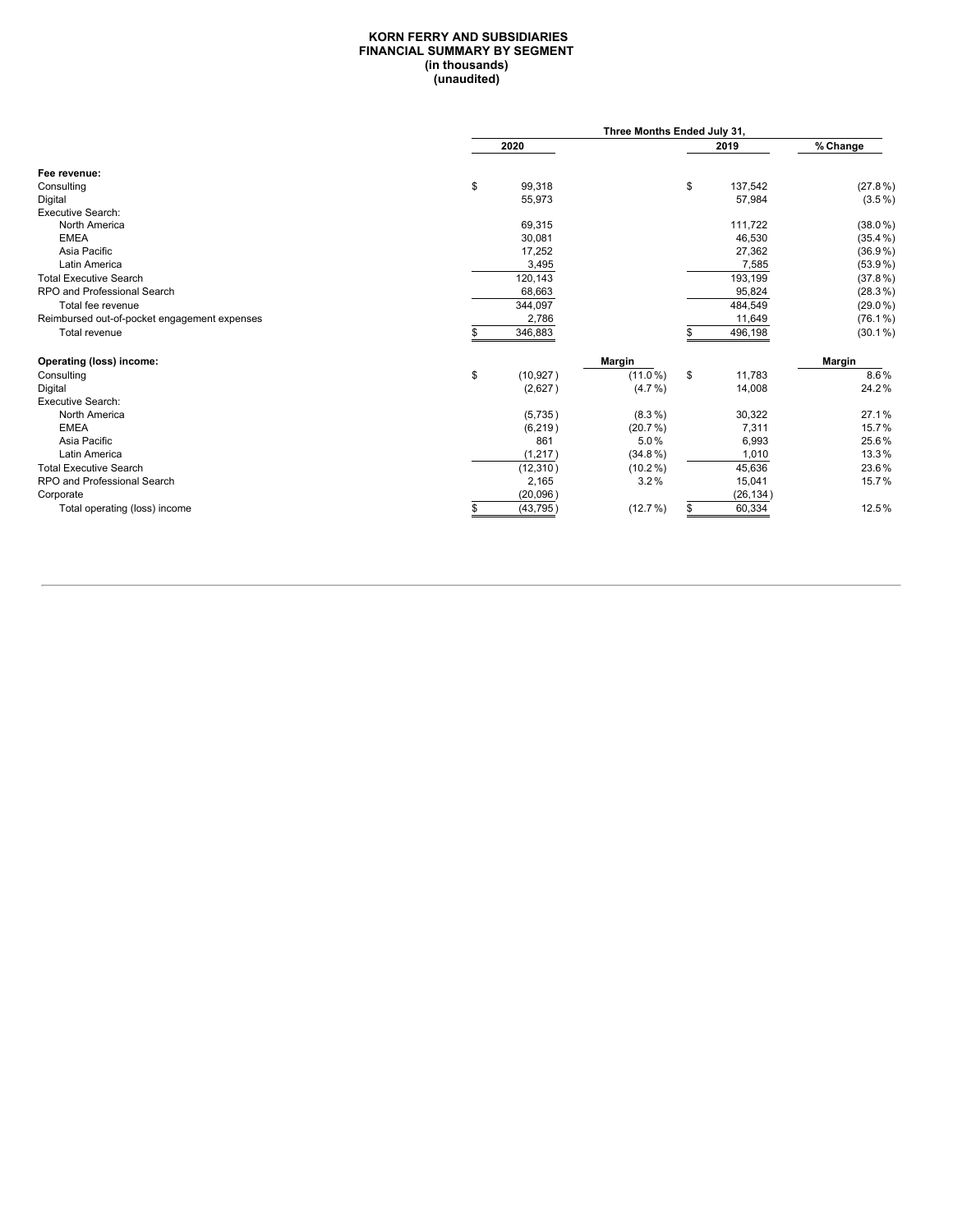#### **KORN FERRY AND SUBSIDIARIES FINANCIAL SUMMARY BY SEGMENT (in thousands) (unaudited)**

|                                              | Three Months Ended July 31, |            |      |           |               |  |
|----------------------------------------------|-----------------------------|------------|------|-----------|---------------|--|
|                                              | 2020                        |            | 2019 |           | % Change      |  |
| Fee revenue:                                 |                             |            |      |           |               |  |
| Consulting                                   | \$<br>99,318                |            | \$   | 137,542   | $(27.8\%)$    |  |
| Digital                                      | 55,973                      |            |      | 57,984    | $(3.5\%)$     |  |
| Executive Search:                            |                             |            |      |           |               |  |
| North America                                | 69,315                      |            |      | 111,722   | $(38.0\%)$    |  |
| <b>EMEA</b>                                  | 30,081                      |            |      | 46,530    | $(35.4\%)$    |  |
| Asia Pacific                                 | 17,252                      |            |      | 27,362    | $(36.9\%)$    |  |
| Latin America                                | 3,495                       |            |      | 7,585     | $(53.9\%)$    |  |
| <b>Total Executive Search</b>                | 120,143                     |            |      | 193,199   | $(37.8\%)$    |  |
| RPO and Professional Search                  | 68,663                      |            |      | 95,824    | $(28.3\%)$    |  |
| Total fee revenue                            | 344,097                     |            |      | 484,549   | $(29.0\%)$    |  |
| Reimbursed out-of-pocket engagement expenses | 2,786                       |            |      | 11,649    | $(76.1\%)$    |  |
| Total revenue                                | 346,883                     |            |      | 496,198   | $(30.1\%)$    |  |
| <b>Operating (loss) income:</b>              |                             | Margin     |      |           | <b>Margin</b> |  |
| Consulting                                   | \$<br>(10, 927)             | $(11.0\%)$ | \$   | 11,783    | 8.6%          |  |
| Digital                                      | (2,627)                     | $(4.7\%)$  |      | 14,008    | 24.2%         |  |
| <b>Executive Search:</b>                     |                             |            |      |           |               |  |
| North America                                | (5,735)                     | $(8.3\%)$  |      | 30,322    | 27.1%         |  |
| <b>EMEA</b>                                  | (6, 219)                    | $(20.7\%)$ |      | 7,311     | 15.7%         |  |
| Asia Pacific                                 | 861                         | 5.0%       |      | 6,993     | 25.6%         |  |
| Latin America                                | (1, 217)                    | $(34.8\%)$ |      | 1,010     | 13.3%         |  |
| <b>Total Executive Search</b>                | (12, 310)                   | $(10.2\%)$ |      | 45,636    | 23.6%         |  |
| RPO and Professional Search                  | 2,165                       | 3.2%       |      | 15,041    | 15.7%         |  |
| Corporate                                    | (20,096)                    |            |      | (26, 134) |               |  |
| Total operating (loss) income                | (43, 795)                   | $(12.7\%)$ |      | 60,334    | 12.5%         |  |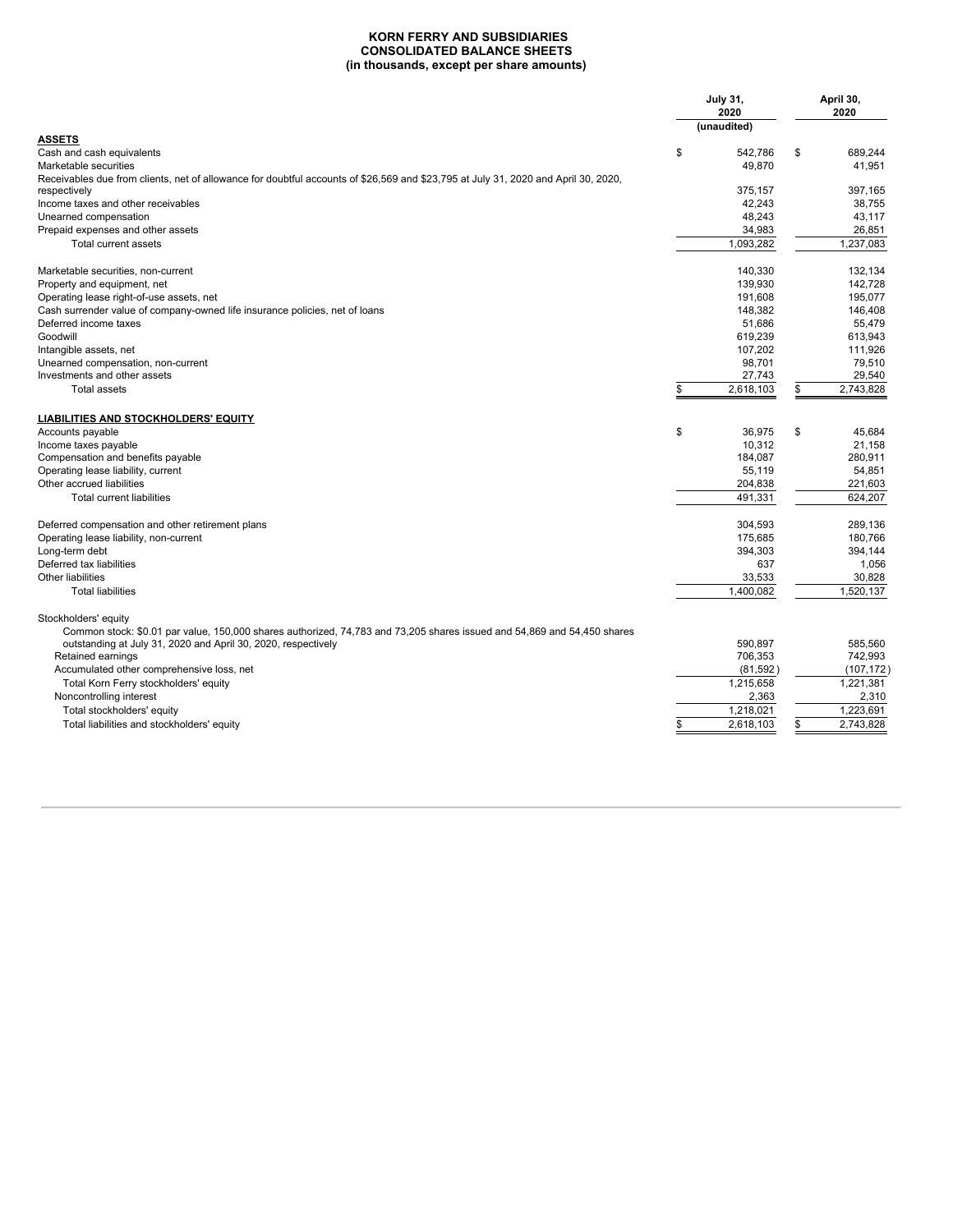### **KORN FERRY AND SUBSIDIARIES CONSOLIDATED BALANCE SHEETS (in thousands, except per share amounts)**

| <b>ASSETS</b><br>\$<br>\$<br>689,244<br>Cash and cash equivalents<br>542,786<br>49,870<br>41,951<br>Receivables due from clients, net of allowance for doubtful accounts of \$26,569 and \$23,795 at July 31, 2020 and April 30, 2020,<br>375,157<br>397,165<br>respectively<br>42,243<br>Income taxes and other receivables<br>38.755<br>48,243<br>43,117<br>34,983<br>26,851<br>Prepaid expenses and other assets<br>1,093,282<br>1,237,083<br>Total current assets<br>132.134<br>Marketable securities, non-current<br>140.330<br>139,930<br>142.728<br>Property and equipment, net<br>195.077<br>Operating lease right-of-use assets, net<br>191.608<br>Cash surrender value of company-owned life insurance policies, net of loans<br>148,382<br>146,408<br>51,686<br>55.479<br>619,239<br>613.943<br>107,202<br>111,926<br>79.510<br>Unearned compensation, non-current<br>98.701<br>Investments and other assets<br>29,540<br>27,743<br>\$<br>2,618,103<br>2,743,828<br>\$<br><b>Total assets</b><br>LIABILITIES AND STOCKHOLDERS' EQUITY<br>\$<br>Accounts payable<br>36,975<br>\$<br>45,684<br>10,312<br>21.158<br>Compensation and benefits payable<br>184,087<br>280,911<br>Operating lease liability, current<br>55,119<br>54,851<br>Other accrued liabilities<br>204,838<br>221,603<br>491.331<br>624.207<br><b>Total current liabilities</b><br>304,593<br>289,136<br>Operating lease liability, non-current<br>175,685<br>180,766<br>Long-term debt<br>394,303<br>394,144<br>Deferred tax liabilities<br>637<br>1,056<br>Other liabilities<br>33,533<br>30,828<br>1,400,082<br>1,520,137<br><b>Total liabilities</b><br>Stockholders' equity<br>Common stock: \$0.01 par value, 150,000 shares authorized, 74,783 and 73,205 shares issued and 54,869 and 54,450 shares<br>outstanding at July 31, 2020 and April 30, 2020, respectively<br>585,560<br>590.897<br>Retained earnings<br>706,353<br>742,993<br>Accumulated other comprehensive loss, net<br>(81, 592)<br>(107, 172)<br>1.215.658<br>1.221.381<br>Total Korn Ferry stockholders' equity<br>Noncontrolling interest<br>2,363<br>2,310<br>1,218,021<br>1,223,691<br>Total stockholders' equity<br>2,618,103<br>2,743,828<br>Total liabilities and stockholders' equity<br>\$<br>\$ |                                                  | <b>July 31,</b><br>2020<br>(unaudited) |  | April 30,<br>2020 |  |
|--------------------------------------------------------------------------------------------------------------------------------------------------------------------------------------------------------------------------------------------------------------------------------------------------------------------------------------------------------------------------------------------------------------------------------------------------------------------------------------------------------------------------------------------------------------------------------------------------------------------------------------------------------------------------------------------------------------------------------------------------------------------------------------------------------------------------------------------------------------------------------------------------------------------------------------------------------------------------------------------------------------------------------------------------------------------------------------------------------------------------------------------------------------------------------------------------------------------------------------------------------------------------------------------------------------------------------------------------------------------------------------------------------------------------------------------------------------------------------------------------------------------------------------------------------------------------------------------------------------------------------------------------------------------------------------------------------------------------------------------------------------------------------------------------------------------------------------------------------------------------------------------------------------------------------------------------------------------------------------------------------------------------------------------------------------------------------------------------------------------------------------------------------------------------------------------------------------------------------------------------------------|--------------------------------------------------|----------------------------------------|--|-------------------|--|
|                                                                                                                                                                                                                                                                                                                                                                                                                                                                                                                                                                                                                                                                                                                                                                                                                                                                                                                                                                                                                                                                                                                                                                                                                                                                                                                                                                                                                                                                                                                                                                                                                                                                                                                                                                                                                                                                                                                                                                                                                                                                                                                                                                                                                                                              |                                                  |                                        |  |                   |  |
|                                                                                                                                                                                                                                                                                                                                                                                                                                                                                                                                                                                                                                                                                                                                                                                                                                                                                                                                                                                                                                                                                                                                                                                                                                                                                                                                                                                                                                                                                                                                                                                                                                                                                                                                                                                                                                                                                                                                                                                                                                                                                                                                                                                                                                                              |                                                  |                                        |  |                   |  |
|                                                                                                                                                                                                                                                                                                                                                                                                                                                                                                                                                                                                                                                                                                                                                                                                                                                                                                                                                                                                                                                                                                                                                                                                                                                                                                                                                                                                                                                                                                                                                                                                                                                                                                                                                                                                                                                                                                                                                                                                                                                                                                                                                                                                                                                              | Marketable securities                            |                                        |  |                   |  |
|                                                                                                                                                                                                                                                                                                                                                                                                                                                                                                                                                                                                                                                                                                                                                                                                                                                                                                                                                                                                                                                                                                                                                                                                                                                                                                                                                                                                                                                                                                                                                                                                                                                                                                                                                                                                                                                                                                                                                                                                                                                                                                                                                                                                                                                              |                                                  |                                        |  |                   |  |
|                                                                                                                                                                                                                                                                                                                                                                                                                                                                                                                                                                                                                                                                                                                                                                                                                                                                                                                                                                                                                                                                                                                                                                                                                                                                                                                                                                                                                                                                                                                                                                                                                                                                                                                                                                                                                                                                                                                                                                                                                                                                                                                                                                                                                                                              |                                                  |                                        |  |                   |  |
|                                                                                                                                                                                                                                                                                                                                                                                                                                                                                                                                                                                                                                                                                                                                                                                                                                                                                                                                                                                                                                                                                                                                                                                                                                                                                                                                                                                                                                                                                                                                                                                                                                                                                                                                                                                                                                                                                                                                                                                                                                                                                                                                                                                                                                                              | Unearned compensation                            |                                        |  |                   |  |
|                                                                                                                                                                                                                                                                                                                                                                                                                                                                                                                                                                                                                                                                                                                                                                                                                                                                                                                                                                                                                                                                                                                                                                                                                                                                                                                                                                                                                                                                                                                                                                                                                                                                                                                                                                                                                                                                                                                                                                                                                                                                                                                                                                                                                                                              |                                                  |                                        |  |                   |  |
|                                                                                                                                                                                                                                                                                                                                                                                                                                                                                                                                                                                                                                                                                                                                                                                                                                                                                                                                                                                                                                                                                                                                                                                                                                                                                                                                                                                                                                                                                                                                                                                                                                                                                                                                                                                                                                                                                                                                                                                                                                                                                                                                                                                                                                                              |                                                  |                                        |  |                   |  |
|                                                                                                                                                                                                                                                                                                                                                                                                                                                                                                                                                                                                                                                                                                                                                                                                                                                                                                                                                                                                                                                                                                                                                                                                                                                                                                                                                                                                                                                                                                                                                                                                                                                                                                                                                                                                                                                                                                                                                                                                                                                                                                                                                                                                                                                              |                                                  |                                        |  |                   |  |
|                                                                                                                                                                                                                                                                                                                                                                                                                                                                                                                                                                                                                                                                                                                                                                                                                                                                                                                                                                                                                                                                                                                                                                                                                                                                                                                                                                                                                                                                                                                                                                                                                                                                                                                                                                                                                                                                                                                                                                                                                                                                                                                                                                                                                                                              |                                                  |                                        |  |                   |  |
|                                                                                                                                                                                                                                                                                                                                                                                                                                                                                                                                                                                                                                                                                                                                                                                                                                                                                                                                                                                                                                                                                                                                                                                                                                                                                                                                                                                                                                                                                                                                                                                                                                                                                                                                                                                                                                                                                                                                                                                                                                                                                                                                                                                                                                                              |                                                  |                                        |  |                   |  |
|                                                                                                                                                                                                                                                                                                                                                                                                                                                                                                                                                                                                                                                                                                                                                                                                                                                                                                                                                                                                                                                                                                                                                                                                                                                                                                                                                                                                                                                                                                                                                                                                                                                                                                                                                                                                                                                                                                                                                                                                                                                                                                                                                                                                                                                              |                                                  |                                        |  |                   |  |
|                                                                                                                                                                                                                                                                                                                                                                                                                                                                                                                                                                                                                                                                                                                                                                                                                                                                                                                                                                                                                                                                                                                                                                                                                                                                                                                                                                                                                                                                                                                                                                                                                                                                                                                                                                                                                                                                                                                                                                                                                                                                                                                                                                                                                                                              | Deferred income taxes                            |                                        |  |                   |  |
|                                                                                                                                                                                                                                                                                                                                                                                                                                                                                                                                                                                                                                                                                                                                                                                                                                                                                                                                                                                                                                                                                                                                                                                                                                                                                                                                                                                                                                                                                                                                                                                                                                                                                                                                                                                                                                                                                                                                                                                                                                                                                                                                                                                                                                                              | Goodwill                                         |                                        |  |                   |  |
|                                                                                                                                                                                                                                                                                                                                                                                                                                                                                                                                                                                                                                                                                                                                                                                                                                                                                                                                                                                                                                                                                                                                                                                                                                                                                                                                                                                                                                                                                                                                                                                                                                                                                                                                                                                                                                                                                                                                                                                                                                                                                                                                                                                                                                                              | Intangible assets, net                           |                                        |  |                   |  |
|                                                                                                                                                                                                                                                                                                                                                                                                                                                                                                                                                                                                                                                                                                                                                                                                                                                                                                                                                                                                                                                                                                                                                                                                                                                                                                                                                                                                                                                                                                                                                                                                                                                                                                                                                                                                                                                                                                                                                                                                                                                                                                                                                                                                                                                              |                                                  |                                        |  |                   |  |
|                                                                                                                                                                                                                                                                                                                                                                                                                                                                                                                                                                                                                                                                                                                                                                                                                                                                                                                                                                                                                                                                                                                                                                                                                                                                                                                                                                                                                                                                                                                                                                                                                                                                                                                                                                                                                                                                                                                                                                                                                                                                                                                                                                                                                                                              |                                                  |                                        |  |                   |  |
|                                                                                                                                                                                                                                                                                                                                                                                                                                                                                                                                                                                                                                                                                                                                                                                                                                                                                                                                                                                                                                                                                                                                                                                                                                                                                                                                                                                                                                                                                                                                                                                                                                                                                                                                                                                                                                                                                                                                                                                                                                                                                                                                                                                                                                                              |                                                  |                                        |  |                   |  |
|                                                                                                                                                                                                                                                                                                                                                                                                                                                                                                                                                                                                                                                                                                                                                                                                                                                                                                                                                                                                                                                                                                                                                                                                                                                                                                                                                                                                                                                                                                                                                                                                                                                                                                                                                                                                                                                                                                                                                                                                                                                                                                                                                                                                                                                              |                                                  |                                        |  |                   |  |
|                                                                                                                                                                                                                                                                                                                                                                                                                                                                                                                                                                                                                                                                                                                                                                                                                                                                                                                                                                                                                                                                                                                                                                                                                                                                                                                                                                                                                                                                                                                                                                                                                                                                                                                                                                                                                                                                                                                                                                                                                                                                                                                                                                                                                                                              |                                                  |                                        |  |                   |  |
|                                                                                                                                                                                                                                                                                                                                                                                                                                                                                                                                                                                                                                                                                                                                                                                                                                                                                                                                                                                                                                                                                                                                                                                                                                                                                                                                                                                                                                                                                                                                                                                                                                                                                                                                                                                                                                                                                                                                                                                                                                                                                                                                                                                                                                                              | Income taxes payable                             |                                        |  |                   |  |
|                                                                                                                                                                                                                                                                                                                                                                                                                                                                                                                                                                                                                                                                                                                                                                                                                                                                                                                                                                                                                                                                                                                                                                                                                                                                                                                                                                                                                                                                                                                                                                                                                                                                                                                                                                                                                                                                                                                                                                                                                                                                                                                                                                                                                                                              |                                                  |                                        |  |                   |  |
|                                                                                                                                                                                                                                                                                                                                                                                                                                                                                                                                                                                                                                                                                                                                                                                                                                                                                                                                                                                                                                                                                                                                                                                                                                                                                                                                                                                                                                                                                                                                                                                                                                                                                                                                                                                                                                                                                                                                                                                                                                                                                                                                                                                                                                                              |                                                  |                                        |  |                   |  |
|                                                                                                                                                                                                                                                                                                                                                                                                                                                                                                                                                                                                                                                                                                                                                                                                                                                                                                                                                                                                                                                                                                                                                                                                                                                                                                                                                                                                                                                                                                                                                                                                                                                                                                                                                                                                                                                                                                                                                                                                                                                                                                                                                                                                                                                              |                                                  |                                        |  |                   |  |
|                                                                                                                                                                                                                                                                                                                                                                                                                                                                                                                                                                                                                                                                                                                                                                                                                                                                                                                                                                                                                                                                                                                                                                                                                                                                                                                                                                                                                                                                                                                                                                                                                                                                                                                                                                                                                                                                                                                                                                                                                                                                                                                                                                                                                                                              |                                                  |                                        |  |                   |  |
|                                                                                                                                                                                                                                                                                                                                                                                                                                                                                                                                                                                                                                                                                                                                                                                                                                                                                                                                                                                                                                                                                                                                                                                                                                                                                                                                                                                                                                                                                                                                                                                                                                                                                                                                                                                                                                                                                                                                                                                                                                                                                                                                                                                                                                                              | Deferred compensation and other retirement plans |                                        |  |                   |  |
|                                                                                                                                                                                                                                                                                                                                                                                                                                                                                                                                                                                                                                                                                                                                                                                                                                                                                                                                                                                                                                                                                                                                                                                                                                                                                                                                                                                                                                                                                                                                                                                                                                                                                                                                                                                                                                                                                                                                                                                                                                                                                                                                                                                                                                                              |                                                  |                                        |  |                   |  |
|                                                                                                                                                                                                                                                                                                                                                                                                                                                                                                                                                                                                                                                                                                                                                                                                                                                                                                                                                                                                                                                                                                                                                                                                                                                                                                                                                                                                                                                                                                                                                                                                                                                                                                                                                                                                                                                                                                                                                                                                                                                                                                                                                                                                                                                              |                                                  |                                        |  |                   |  |
|                                                                                                                                                                                                                                                                                                                                                                                                                                                                                                                                                                                                                                                                                                                                                                                                                                                                                                                                                                                                                                                                                                                                                                                                                                                                                                                                                                                                                                                                                                                                                                                                                                                                                                                                                                                                                                                                                                                                                                                                                                                                                                                                                                                                                                                              |                                                  |                                        |  |                   |  |
|                                                                                                                                                                                                                                                                                                                                                                                                                                                                                                                                                                                                                                                                                                                                                                                                                                                                                                                                                                                                                                                                                                                                                                                                                                                                                                                                                                                                                                                                                                                                                                                                                                                                                                                                                                                                                                                                                                                                                                                                                                                                                                                                                                                                                                                              |                                                  |                                        |  |                   |  |
|                                                                                                                                                                                                                                                                                                                                                                                                                                                                                                                                                                                                                                                                                                                                                                                                                                                                                                                                                                                                                                                                                                                                                                                                                                                                                                                                                                                                                                                                                                                                                                                                                                                                                                                                                                                                                                                                                                                                                                                                                                                                                                                                                                                                                                                              |                                                  |                                        |  |                   |  |
|                                                                                                                                                                                                                                                                                                                                                                                                                                                                                                                                                                                                                                                                                                                                                                                                                                                                                                                                                                                                                                                                                                                                                                                                                                                                                                                                                                                                                                                                                                                                                                                                                                                                                                                                                                                                                                                                                                                                                                                                                                                                                                                                                                                                                                                              |                                                  |                                        |  |                   |  |
|                                                                                                                                                                                                                                                                                                                                                                                                                                                                                                                                                                                                                                                                                                                                                                                                                                                                                                                                                                                                                                                                                                                                                                                                                                                                                                                                                                                                                                                                                                                                                                                                                                                                                                                                                                                                                                                                                                                                                                                                                                                                                                                                                                                                                                                              |                                                  |                                        |  |                   |  |
|                                                                                                                                                                                                                                                                                                                                                                                                                                                                                                                                                                                                                                                                                                                                                                                                                                                                                                                                                                                                                                                                                                                                                                                                                                                                                                                                                                                                                                                                                                                                                                                                                                                                                                                                                                                                                                                                                                                                                                                                                                                                                                                                                                                                                                                              |                                                  |                                        |  |                   |  |
|                                                                                                                                                                                                                                                                                                                                                                                                                                                                                                                                                                                                                                                                                                                                                                                                                                                                                                                                                                                                                                                                                                                                                                                                                                                                                                                                                                                                                                                                                                                                                                                                                                                                                                                                                                                                                                                                                                                                                                                                                                                                                                                                                                                                                                                              |                                                  |                                        |  |                   |  |
|                                                                                                                                                                                                                                                                                                                                                                                                                                                                                                                                                                                                                                                                                                                                                                                                                                                                                                                                                                                                                                                                                                                                                                                                                                                                                                                                                                                                                                                                                                                                                                                                                                                                                                                                                                                                                                                                                                                                                                                                                                                                                                                                                                                                                                                              |                                                  |                                        |  |                   |  |
|                                                                                                                                                                                                                                                                                                                                                                                                                                                                                                                                                                                                                                                                                                                                                                                                                                                                                                                                                                                                                                                                                                                                                                                                                                                                                                                                                                                                                                                                                                                                                                                                                                                                                                                                                                                                                                                                                                                                                                                                                                                                                                                                                                                                                                                              |                                                  |                                        |  |                   |  |
|                                                                                                                                                                                                                                                                                                                                                                                                                                                                                                                                                                                                                                                                                                                                                                                                                                                                                                                                                                                                                                                                                                                                                                                                                                                                                                                                                                                                                                                                                                                                                                                                                                                                                                                                                                                                                                                                                                                                                                                                                                                                                                                                                                                                                                                              |                                                  |                                        |  |                   |  |
|                                                                                                                                                                                                                                                                                                                                                                                                                                                                                                                                                                                                                                                                                                                                                                                                                                                                                                                                                                                                                                                                                                                                                                                                                                                                                                                                                                                                                                                                                                                                                                                                                                                                                                                                                                                                                                                                                                                                                                                                                                                                                                                                                                                                                                                              |                                                  |                                        |  |                   |  |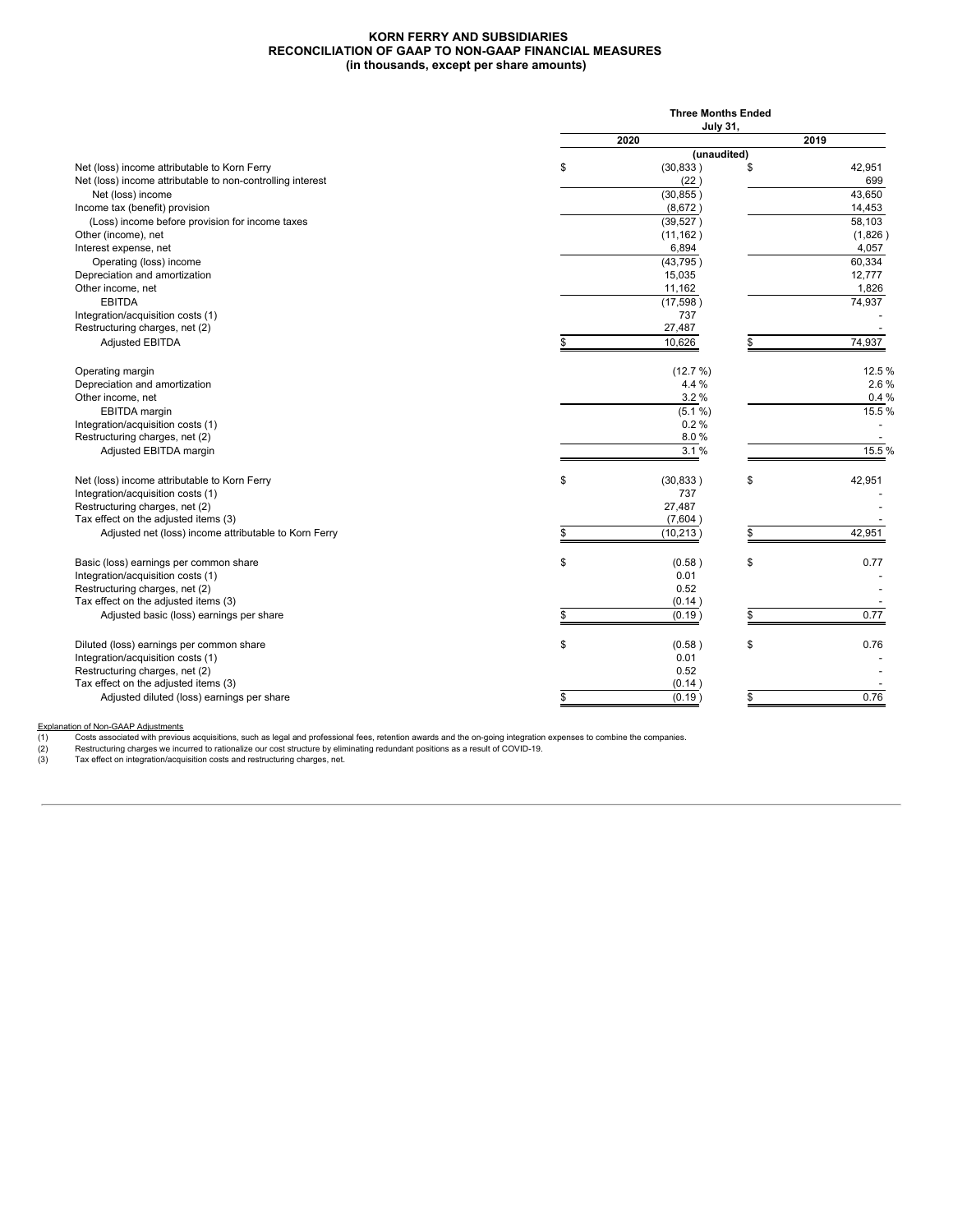### **KORN FERRY AND SUBSIDIARIES RECONCILIATION OF GAAP TO NON-GAAP FINANCIAL MEASURES (in thousands, except per share amounts)**

|                                                            |    | <b>Three Months Ended</b> |    |         |  |  |  |  |  |  |
|------------------------------------------------------------|----|---------------------------|----|---------|--|--|--|--|--|--|
|                                                            |    | <b>July 31,</b>           |    |         |  |  |  |  |  |  |
|                                                            |    | 2020                      |    | 2019    |  |  |  |  |  |  |
|                                                            |    | (unaudited)               |    |         |  |  |  |  |  |  |
| Net (loss) income attributable to Korn Ferry               | \$ | (30, 833)                 | \$ | 42,951  |  |  |  |  |  |  |
| Net (loss) income attributable to non-controlling interest |    | (22)                      |    | 699     |  |  |  |  |  |  |
| Net (loss) income                                          |    | (30, 855)                 |    | 43.650  |  |  |  |  |  |  |
| Income tax (benefit) provision                             |    | (8,672)                   |    | 14,453  |  |  |  |  |  |  |
| (Loss) income before provision for income taxes            |    | (39, 527)                 |    | 58,103  |  |  |  |  |  |  |
| Other (income), net                                        |    | (11, 162)                 |    | (1,826) |  |  |  |  |  |  |
| Interest expense, net                                      |    | 6,894                     |    | 4,057   |  |  |  |  |  |  |
| Operating (loss) income                                    |    | (43, 795)                 |    | 60,334  |  |  |  |  |  |  |
| Depreciation and amortization                              |    | 15,035                    |    | 12,777  |  |  |  |  |  |  |
| Other income, net                                          |    | 11,162                    |    | 1,826   |  |  |  |  |  |  |
| <b>EBITDA</b>                                              |    | (17,598)                  |    | 74,937  |  |  |  |  |  |  |
| Integration/acquisition costs (1)                          |    | 737                       |    |         |  |  |  |  |  |  |
| Restructuring charges, net (2)                             |    | 27,487                    |    |         |  |  |  |  |  |  |
| <b>Adjusted EBITDA</b>                                     | \$ | 10,626                    |    | 74,937  |  |  |  |  |  |  |
|                                                            |    |                           |    |         |  |  |  |  |  |  |
| Operating margin                                           |    | (12.7%)                   |    | 12.5%   |  |  |  |  |  |  |
| Depreciation and amortization                              |    | 4.4 %                     |    | 2.6%    |  |  |  |  |  |  |
| Other income, net                                          |    | 3.2%                      |    | 0.4%    |  |  |  |  |  |  |
| EBITDA margin                                              |    | (5.1 %)                   |    | 15.5%   |  |  |  |  |  |  |
| Integration/acquisition costs (1)                          |    | 0.2%                      |    |         |  |  |  |  |  |  |
| Restructuring charges, net (2)                             |    | 8.0%                      |    |         |  |  |  |  |  |  |
| Adjusted EBITDA margin                                     |    | 3.1%                      |    | 15.5%   |  |  |  |  |  |  |
|                                                            |    |                           |    |         |  |  |  |  |  |  |
| Net (loss) income attributable to Korn Ferry               | \$ | (30, 833)                 | \$ | 42,951  |  |  |  |  |  |  |
| Integration/acquisition costs (1)                          |    | 737                       |    |         |  |  |  |  |  |  |
| Restructuring charges, net (2)                             |    | 27,487                    |    |         |  |  |  |  |  |  |
| Tax effect on the adjusted items (3)                       |    | (7,604)                   |    |         |  |  |  |  |  |  |
| Adjusted net (loss) income attributable to Korn Ferry      |    | (10, 213)                 |    | 42,951  |  |  |  |  |  |  |
|                                                            |    |                           |    |         |  |  |  |  |  |  |
| Basic (loss) earnings per common share                     | \$ | (0.58)                    | \$ | 0.77    |  |  |  |  |  |  |
| Integration/acquisition costs (1)                          |    | 0.01                      |    |         |  |  |  |  |  |  |
| Restructuring charges, net (2)                             |    | 0.52                      |    |         |  |  |  |  |  |  |
| Tax effect on the adjusted items (3)                       |    | (0.14)                    |    |         |  |  |  |  |  |  |
| Adjusted basic (loss) earnings per share                   | \$ | (0.19)                    |    | 0.77    |  |  |  |  |  |  |
|                                                            |    |                           |    |         |  |  |  |  |  |  |
| Diluted (loss) earnings per common share                   | \$ | (0.58)                    | \$ | 0.76    |  |  |  |  |  |  |
| Integration/acquisition costs (1)                          |    | 0.01                      |    |         |  |  |  |  |  |  |
| Restructuring charges, net (2)                             |    | 0.52                      |    |         |  |  |  |  |  |  |
| Tax effect on the adjusted items (3)                       |    | (0.14)                    |    |         |  |  |  |  |  |  |
| Adjusted diluted (loss) earnings per share                 | \$ | (0.19)                    | \$ | 0.76    |  |  |  |  |  |  |
|                                                            |    |                           |    |         |  |  |  |  |  |  |

Explanation of Non-GAAP Adjustments<br>
(1) Costs associated with previou<br>
(2) Restructuring charges we incu<br>
(3) Tax effect on integration/acqui

(1) Costs associated with previous acquisitions, such as legal and professional fees, retention awards and the on-going integration expenses to combine the companies.<br>(2) Restructuring charges we incurred to rationalize ou

(3) Tax effect on integration/acquisition costs and restructuring charges, net.